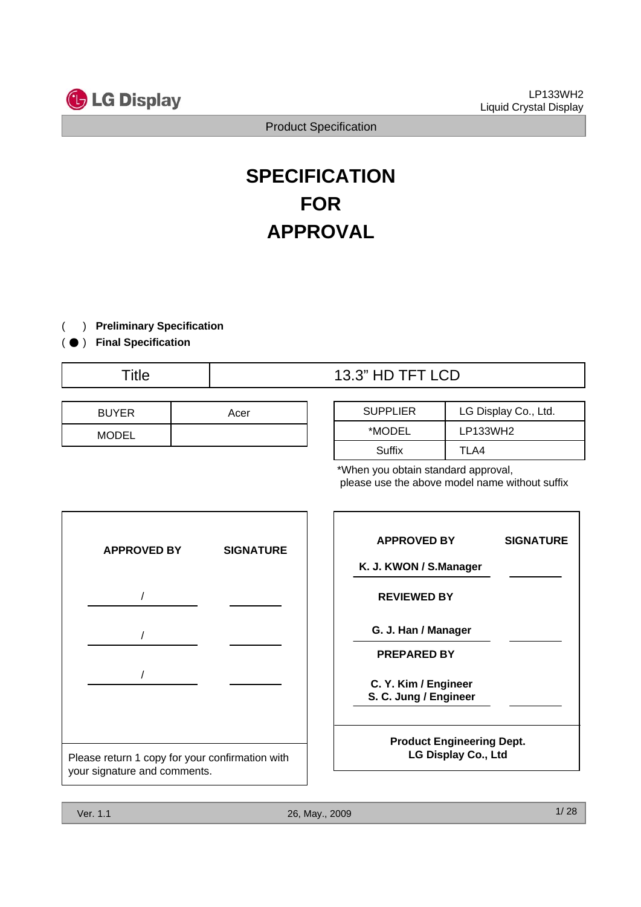

# **SPECIFICATION FOR APPROVAL**

( ) **Preliminary Specification**

( ● ) **Final Specification**

## Title  $\qquad$  | 13.3" HD TFT LCD

| <b>BUYER</b> | Acer |
|--------------|------|
| <b>MODEL</b> |      |

| <b>SUPPLIER</b> | LG Display Co., Ltd. |  |  |  |  |
|-----------------|----------------------|--|--|--|--|
| *MODEL          | LP133WH2             |  |  |  |  |
| Suffix          | TLA4                 |  |  |  |  |

\*When you obtain standard approval, please use the above model name without suffix



| <b>APPROVED BY</b>                                      | <b>SIGNATURE</b> |
|---------------------------------------------------------|------------------|
| K. J. KWON / S.Manager                                  |                  |
| <b>REVIEWED BY</b>                                      |                  |
| G. J. Han / Manager                                     |                  |
| <b>PREPARED BY</b>                                      |                  |
| C. Y. Kim / Engineer<br>S. C. Jung / Engineer           |                  |
| <b>Product Engineering Dept.</b><br>LG Display Co., Ltd |                  |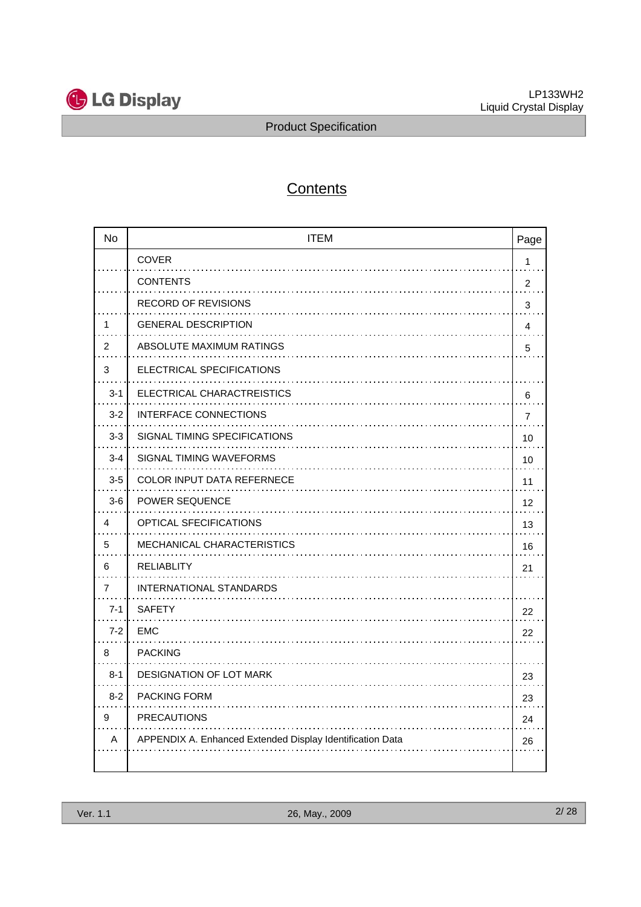

## **Contents**

| <b>No</b> | <b>ITEM</b>                                               | Page           |
|-----------|-----------------------------------------------------------|----------------|
|           | <b>COVER</b>                                              | $\mathbf{1}$   |
|           | <b>CONTENTS</b>                                           | $\overline{2}$ |
|           | RECORD OF REVISIONS                                       | 3              |
| 1         | <b>GENERAL DESCRIPTION</b>                                | $\overline{4}$ |
| 2         | ABSOLUTE MAXIMUM RATINGS                                  | 5              |
| 3         | ELECTRICAL SPECIFICATIONS                                 |                |
| $3 - 1$   | ELECTRICAL CHARACTREISTICS                                | 6              |
| $3 - 2$   | INTERFACE CONNECTIONS                                     | $\overline{7}$ |
| $3-3$     | SIGNAL TIMING SPECIFICATIONS                              | 10             |
| $3 - 4$   | SIGNAL TIMING WAVEFORMS                                   | 10             |
| $3-5$     | <b>COLOR INPUT DATA REFERNECE</b>                         | 11             |
| $3-6$     | <b>POWER SEQUENCE</b>                                     | 12             |
| 4         | <b>OPTICAL SFECIFICATIONS</b>                             | 13             |
| 5         | <b>MECHANICAL CHARACTERISTICS</b>                         | 16             |
| 6         | <b>RELIABLITY</b>                                         | 21             |
| 7         | INTERNATIONAL STANDARDS                                   |                |
| $7 - 1$   | <b>SAFETY</b>                                             | 22             |
| $7 - 2$   | <b>EMC</b>                                                | 22             |
| 8         | <b>PACKING</b>                                            |                |
| $8 - 1$   | <b>DESIGNATION OF LOT MARK</b>                            | 23             |
| $8 - 2$   | <b>PACKING FORM</b>                                       | 23             |
| 9         | <b>PRECAUTIONS</b>                                        | 24             |
| Α         | APPENDIX A. Enhanced Extended Display Identification Data | 26             |
|           |                                                           |                |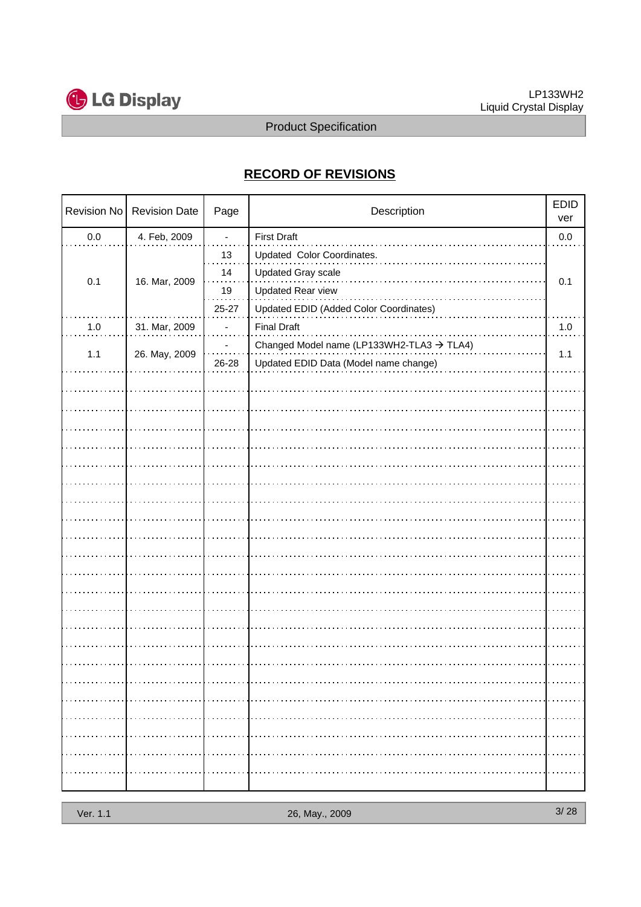

## **RECORD OF REVISIONS**

|     | Revision No   Revision Date | Page                     | Description                                                                                    |     |
|-----|-----------------------------|--------------------------|------------------------------------------------------------------------------------------------|-----|
| 0.0 | 4. Feb, 2009                | $\overline{\phantom{a}}$ | <b>First Draft</b>                                                                             | 0.0 |
| 0.1 | 16. Mar, 2009               | 13<br>14<br>19           | Updated Color Coordinates.<br>Updated Gray scale<br><b>Updated Rear view</b>                   | 0.1 |
|     |                             | 25-27                    | Updated EDID (Added Color Coordinates)                                                         |     |
| 1.0 | 31. Mar, 2009               |                          | <b>Final Draft</b>                                                                             | 1.0 |
| 1.1 | 26. May, 2009               | 26-28                    | Changed Model name (LP133WH2-TLA3 $\rightarrow$ TLA4)<br>Updated EDID Data (Model name change) | 1.1 |
|     |                             |                          |                                                                                                |     |
|     |                             |                          |                                                                                                |     |
|     |                             |                          |                                                                                                |     |
|     |                             |                          |                                                                                                |     |
|     |                             |                          |                                                                                                |     |
|     |                             |                          |                                                                                                |     |
|     |                             |                          |                                                                                                |     |
|     |                             |                          |                                                                                                |     |
|     |                             |                          |                                                                                                |     |
|     |                             |                          |                                                                                                |     |
|     |                             |                          |                                                                                                |     |
|     |                             |                          |                                                                                                |     |
|     |                             |                          |                                                                                                |     |
|     |                             |                          |                                                                                                |     |
|     |                             |                          |                                                                                                |     |
|     |                             |                          |                                                                                                |     |
|     |                             |                          |                                                                                                |     |
|     |                             | .                        |                                                                                                | .   |
|     |                             |                          |                                                                                                |     |
|     |                             |                          |                                                                                                |     |
|     |                             |                          |                                                                                                |     |
|     |                             |                          |                                                                                                | .   |
|     |                             |                          |                                                                                                |     |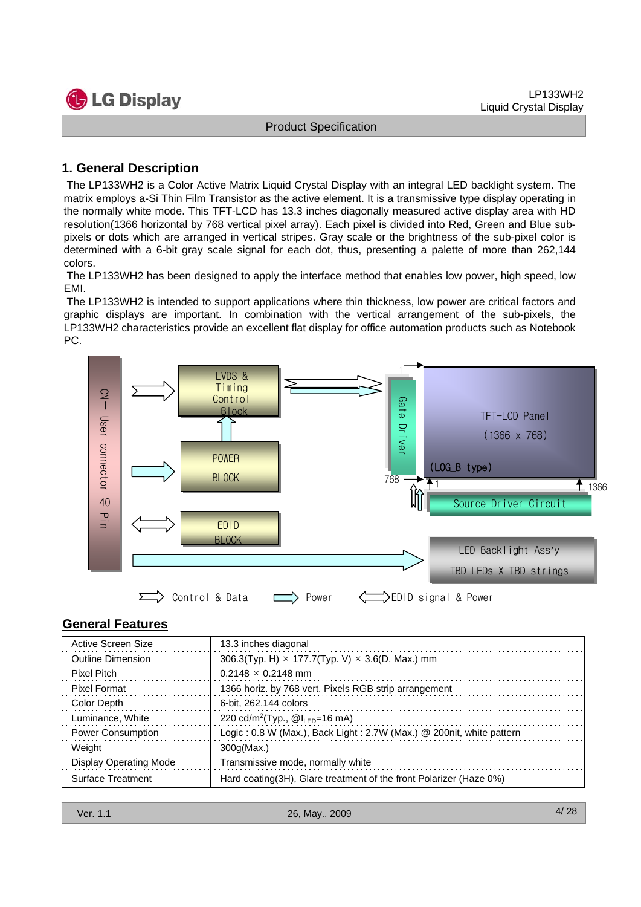

## **1. General Description**

The LP133WH2 is a Color Active Matrix Liquid Crystal Display with an integral LED backlight system. The matrix employs a-Si Thin Film Transistor as the active element. It is a transmissive type display operating in the normally white mode. This TFT-LCD has 13.3 inches diagonally measured active display area with HD resolution(1366 horizontal by 768 vertical pixel array). Each pixel is divided into Red, Green and Blue subpixels or dots which are arranged in vertical stripes. Gray scale or the brightness of the sub-pixel color is determined with a 6-bit gray scale signal for each dot, thus, presenting a palette of more than 262,144 colors.

The LP133WH2 has been designed to apply the interface method that enables low power, high speed, low EMI.

The LP133WH2 is intended to support applications where thin thickness, low power are critical factors and graphic displays are important. In combination with the vertical arrangement of the sub-pixels, the LP133WH2 characteristics provide an excellent flat display for office automation products such as Notebook PC.



## **General Features**

| Active Screen Size       | 13.3 inches diagonal                                                 |
|--------------------------|----------------------------------------------------------------------|
| Outline Dimension        | 306.3(Typ. H) $\times$ 177.7(Typ. V) $\times$ 3.6(D, Max.) mm        |
| Pixel Pitch              | $0.2148 \times 0.2148$ mm                                            |
| <b>Pixel Format</b>      | 1366 horiz. by 768 vert. Pixels RGB strip arrangement                |
| Color Depth              | 6-bit, 262,144 colors                                                |
| Luminance, White         | 220 cd/m <sup>2</sup> (Typ., $@I_{IFD}=16$ mA)                       |
| <b>Power Consumption</b> | Logic: 0.8 W (Max.), Back Light: 2.7W (Max.) @ 200nit, white pattern |
| Weight                   | 300q(Max.)                                                           |
| Display Operating Mode   | Transmissive mode, normally white                                    |
| <b>Surface Treatment</b> | Hard coating (3H), Glare treatment of the front Polarizer (Haze 0%)  |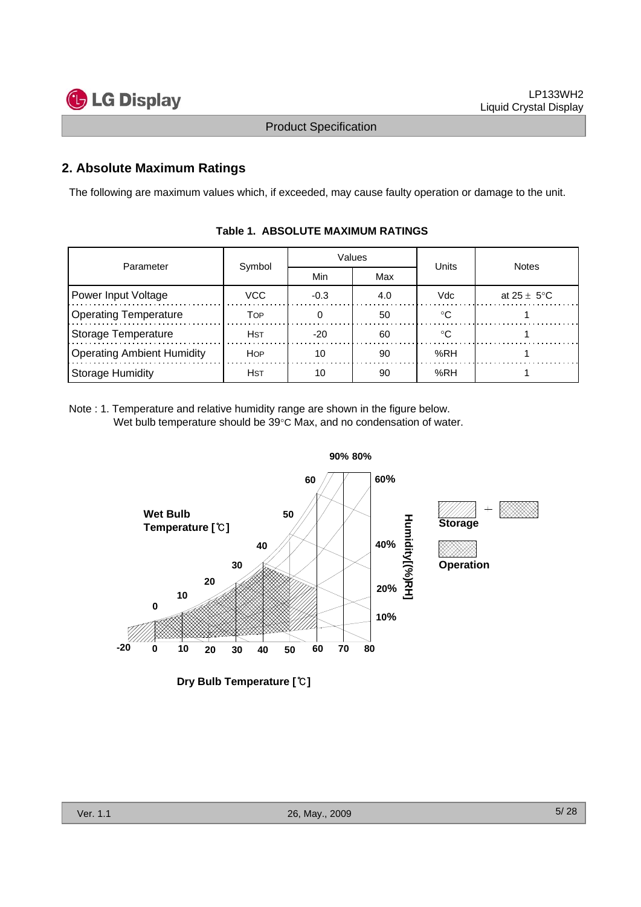

## **2. Absolute Maximum Ratings**

The following are maximum values which, if exceeded, may cause faulty operation or damage to the unit.

| Parameter                  |            |        | Values | Units | <b>Notes</b>            |  |
|----------------------------|------------|--------|--------|-------|-------------------------|--|
|                            | Symbol     | Min    | Max    |       |                         |  |
| Power Input Voltage        | VCC        | $-0.3$ | 4.0    | Vdc   | at $25 \pm 5^{\circ}$ C |  |
| Operating Temperature      | TOP        |        | 50     | ∘∩    |                         |  |
| Storage Temperature        | <b>HST</b> | $-20$  | 60     | ℃     |                         |  |
| Operating Ambient Humidity | HOP        | 10     | 90     | %RH   |                         |  |
| Storage Humidity           | <b>HST</b> | 10     | 90     | %RH   |                         |  |

#### **Table 1. ABSOLUTE MAXIMUM RATINGS**

Note : 1. Temperature and relative humidity range are shown in the figure below. Wet bulb temperature should be 39°C Max, and no condensation of water.

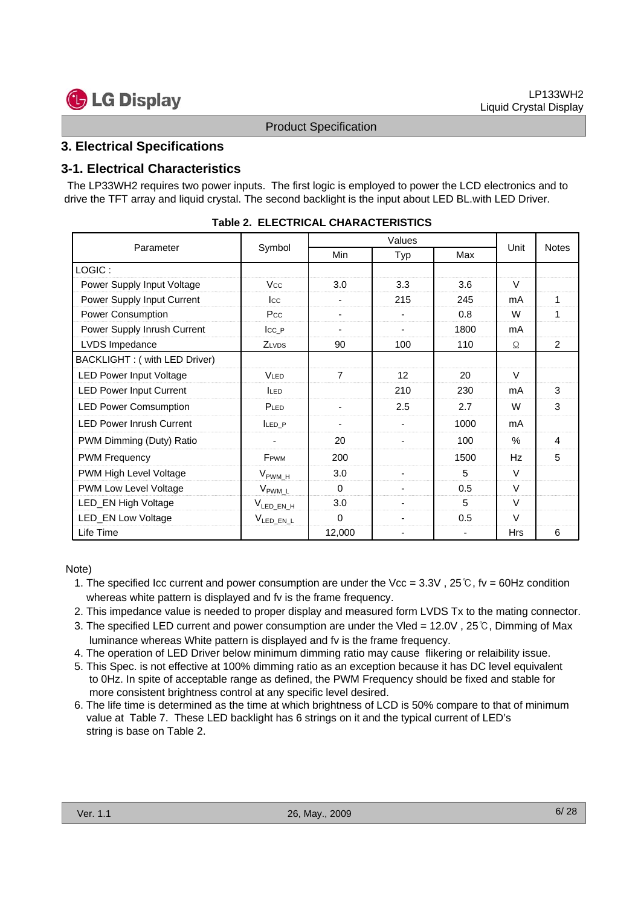## **3. Electrical Specifications**

#### **3-1. Electrical Characteristics**

The LP33WH2 requires two power inputs. The first logic is employed to power the LCD electronics and to drive the TFT array and liquid crystal. The second backlight is the input about LED BL.with LED Driver.

| Parameter                       | Symbol                       | Min                      | <b>Typ</b> | Max  | Unit          | <b>Notes</b>  |
|---------------------------------|------------------------------|--------------------------|------------|------|---------------|---------------|
| LOGIC:                          |                              |                          |            |      |               |               |
| Power Supply Input Voltage      | <b>Vcc</b>                   | 3.0                      | 3.3        | 3.6  | $\vee$        |               |
| Power Supply Input Current      | $_{\rm lcc}$                 |                          | 215        | 245  | mA            | 1             |
| Power Consumption               | Pcc                          |                          |            | 0.8  | W             | 1             |
| Power Supply Inrush Current     | $\mathsf{Icc}\_P$            |                          |            | 1800 | mA            |               |
| LVDS Impedance                  | ZLVDS                        | 90                       | 100        | 110  | Ω             | $\mathcal{P}$ |
| BACKLIGHT: ( with LED Driver)   |                              |                          |            |      |               |               |
| LED Power Input Voltage         | VLED                         | $\overline{7}$           | 12         | 20   | $\vee$        |               |
| <b>LED Power Input Current</b>  | <b>LED</b>                   |                          | 210        | 230  | mA            | 3             |
| <b>LED Power Comsumption</b>    | PLED                         |                          | 2.5        | 2.7  | W             | 3             |
| <b>LED Power Inrush Current</b> | LED P                        | $\overline{\phantom{0}}$ |            | 1000 | mA            |               |
| PWM Dimming (Duty) Ratio        | ۰                            | 20                       |            | 100  | $\frac{0}{0}$ | 4             |
| <b>PWM Frequency</b>            | F <sub>PWM</sub>             | 200                      |            | 1500 | Hz            | 5             |
| PWM High Level Voltage          | $\rm V_{\rm PWM\_H}$         | 3.0                      |            | 5    | $\vee$        |               |
| PWM Low Level Voltage           | $V_{\text{PWM}_{\text{L}}L}$ | $\Omega$                 |            | 0.5  | V             |               |
| LED_EN High Voltage             | $V_{LED_EN_H}$               | 3.0                      |            | 5    | $\vee$        |               |
| <b>LED_EN Low Voltage</b>       | V <sub>LED_EN_L</sub>        | $\Omega$                 |            | 0.5  | $\vee$        |               |
| Life Time                       |                              | 12,000                   |            | ۰    | <b>Hrs</b>    | 6             |

|  |  | <b>Table 2. ELECTRICAL CHARACTERISTICS</b> |
|--|--|--------------------------------------------|
|--|--|--------------------------------------------|

#### Note)

- 1. The specified Icc current and power consumption are under the Vcc = 3.3V , 25℃, fv = 60Hz condition whereas white pattern is displayed and fv is the frame frequency.
- 2. This impedance value is needed to proper display and measured form LVDS Tx to the mating connector.
- 3. The specified LED current and power consumption are under the Vled = 12.0V , 25℃, Dimming of Max luminance whereas White pattern is displayed and fv is the frame frequency.
- 4. The operation of LED Driver below minimum dimming ratio may cause flikering or relaibility issue.
- 5. This Spec. is not effective at 100% dimming ratio as an exception because it has DC level equivalent to 0Hz. In spite of acceptable range as defined, the PWM Frequency should be fixed and stable for more consistent brightness control at any specific level desired.
- 6. The life time is determined as the time at which brightness of LCD is 50% compare to that of minimum value at Table 7. These LED backlight has 6 strings on it and the typical current of LED's string is base on Table 2.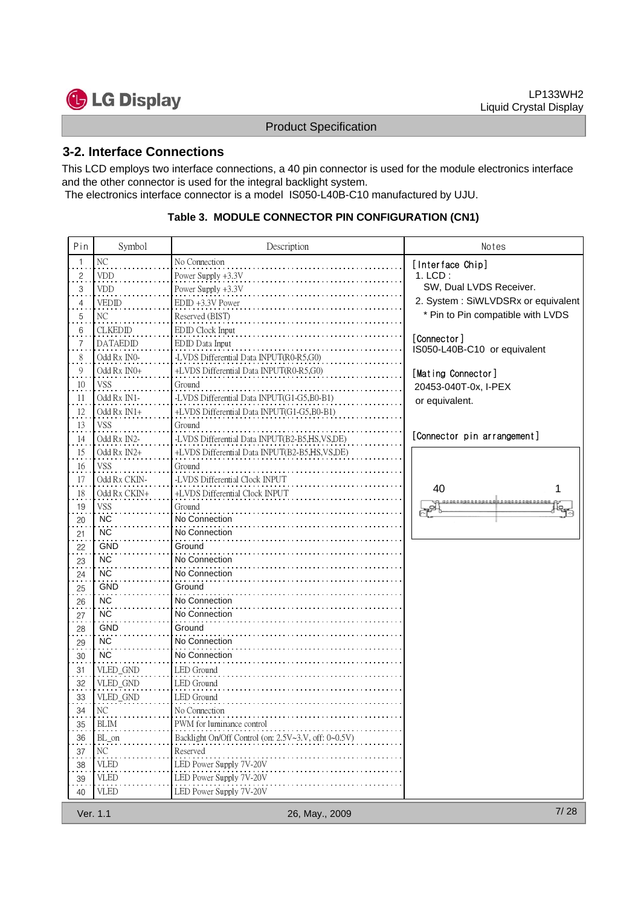

### **3-2. Interface Connections**

This LCD employs two interface connections, a 40 pin connector is used for the module electronics interface and the other connector is used for the integral backlight system.

The electronics interface connector is a model IS050-L40B-C10 manufactured by UJU.

## **Table 3. MODULE CONNECTOR PIN CONFIGURATION (CN1)**

| Pin               | Symbol          | Description                                          | Notes                                       |
|-------------------|-----------------|------------------------------------------------------|---------------------------------------------|
| $\overline{1}$    | NC              | No Connection                                        | [Interface Chip]                            |
| $\frac{2}{\cdot}$ | <b>VDD</b>      | Power Supply +3.3V                                   | $1.$ LCD:                                   |
| 3                 | <b>VDD</b>      | Power Supply +3.3V                                   | SW, Dual LVDS Receiver.                     |
| $\frac{4}{1}$     | <b>VEDID</b>    | EDID +3.3V Power                                     | 2. System: SiWLVDSRx or equivalent          |
| 5.                | NC              | Reserved (BIST)                                      | * Pin to Pin compatible with LVDS           |
| 6                 | <b>CLKEDID</b>  | EDID Clock Input                                     |                                             |
| 7                 | <b>DATAEDID</b> | EDID Data Input                                      | [Connector]<br>IS050-L40B-C10 or equivalent |
| $\frac{8}{1}$     | Odd Rx IN0-     | -LVDS Differential Data INPUT(R0-R5,G0)              |                                             |
| $\overline{9}$    | Odd Rx IN0+     | +LVDS Differential Data INPUT(R0-R5,G0)              | [Mating Connector]                          |
| 10                | VSS             | Ground                                               | 20453-040T-0x, I-PEX                        |
| 11                | Odd Rx IN1-     | -LVDS Differential Data INPUT(G1-G5,B0-B1)           | or equivalent.                              |
| 12                | Odd Rx IN1+     | +LVDS Differential Data INPUT(G1-G5,B0-B1)           |                                             |
| 13                | VSS             | Ground                                               |                                             |
| 14                | Odd Rx IN2-     | -LVDS Differential Data INPUT(B2-B5,HS,VS,DE)        | [Connector pin arrangement]                 |
| 15                | Odd Rx IN2+     | +LVDS Differential Data INPUT(B2-B5,HS,VS,DE)        |                                             |
| 16                | <b>VSS</b>      | Ground                                               |                                             |
| $17\phantom{.0}$  | Odd Rx CKIN-    | -LVDS Differential Clock INPUT                       | 40                                          |
| 18                | Odd Rx CKIN+    | +LVDS Differential Clock INPUT                       |                                             |
| $\frac{19}{1}$    | <b>VSS</b>      | Ground                                               |                                             |
| 20                | NC <sup></sup>  | No Connection                                        |                                             |
| 21                | <b>NC</b>       | No Connection                                        |                                             |
| 22                | GND             | Ground                                               |                                             |
| 23                | <b>NC</b>       | No Connection                                        |                                             |
| 24                | <b>NC</b>       | No Connection                                        |                                             |
| 25                | <b>GND</b>      | Ground                                               |                                             |
| 26                | NC <sup></sup>  | No Connection                                        |                                             |
| 27                | <b>NC</b>       | No Connection                                        |                                             |
| 28                | <b>GND</b>      | Ground                                               |                                             |
| 29                | <b>NC</b>       | No Connection                                        |                                             |
| 30                | <b>NC</b>       | No Connection                                        |                                             |
| 31                | VLED_GND        | LED Ground                                           |                                             |
| 32                | VLED_GND        | LED Ground                                           |                                             |
| $\frac{33}{1}$    | VLED_GND        | LED Ground                                           |                                             |
| 34                | NC              | No Connection                                        |                                             |
| 35                | <b>BLIM</b>     | PWM for luminance control                            |                                             |
| $\frac{36}{1}$    | BL_on           | Backlight On/Off Control (on: 2.5V~3.V, off: 0~0.5V) |                                             |
| 37                | NC              | Reserved                                             |                                             |
| 38                | <b>VLED</b>     | LED Power Supply 7V-20V                              |                                             |
| $\frac{39}{1}$    | <b>VLED</b>     | LED Power Supply 7V-20V                              |                                             |
| 40                | <b>VLED</b>     | LED Power Supply 7V-20V                              |                                             |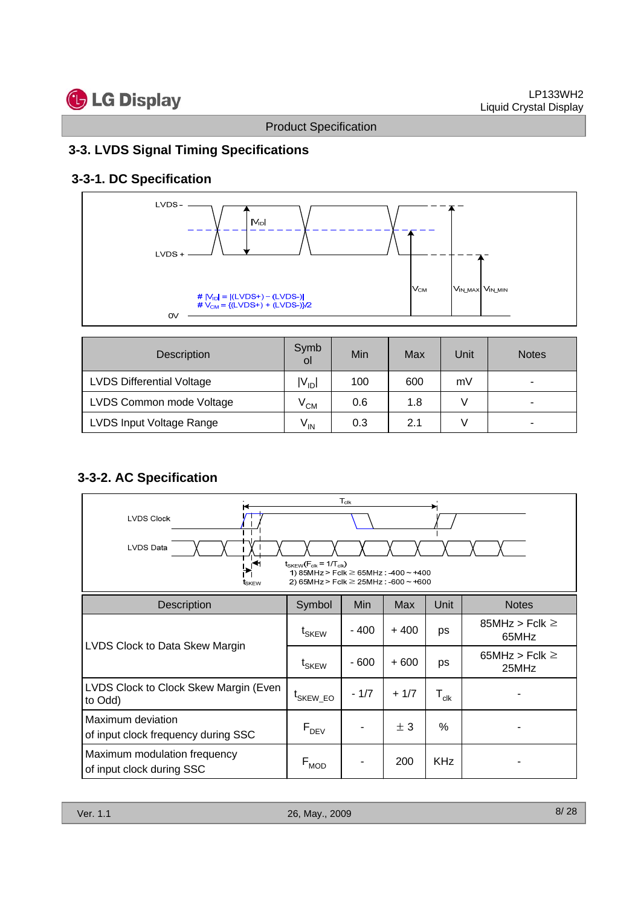## **3-3. LVDS Signal Timing Specifications**

## **3-3-1. DC Specification**



| Description                      | Symb<br>οI      | Min | Max | Unit | <b>Notes</b> |
|----------------------------------|-----------------|-----|-----|------|--------------|
| <b>LVDS Differential Voltage</b> | $V_{\text{ID}}$ | 100 | 600 | mV   |              |
| LVDS Common mode Voltage         | $\rm V_{CM}$    | 0.6 | 1.8 |      |              |
| LVDS Input Voltage Range         | $V_{IN}$        | 0.3 | 2.1 |      | ۰            |

## **3-3-2. AC Specification**

| $T_{\text{clk}}$<br><b>LVDS Clock</b><br><b>LVDS Data</b><br>۴١<br>$t_{SKEW}(F_{clk} = 1/T_{clk})$<br>1) 85MHz > Fclk $\geq$ 65MHz : -400 ~ +400<br>2) 65MHz > Fclk $\geq$ 25MHz : -600 ~ +600<br>tskew |                              |        |        |                             |                              |  |  |
|---------------------------------------------------------------------------------------------------------------------------------------------------------------------------------------------------------|------------------------------|--------|--------|-----------------------------|------------------------------|--|--|
| <b>Description</b>                                                                                                                                                                                      | Symbol                       | Min    | Max    | Unit                        | <b>Notes</b>                 |  |  |
|                                                                                                                                                                                                         | t <sub>SKEW</sub>            | $-400$ | $+400$ | ps                          | 85MHz > Fclk $\geq$<br>65MHz |  |  |
| LVDS Clock to Data Skew Margin                                                                                                                                                                          | $\mathfrak{t}_{\text{SKEW}}$ | - 600  | $+600$ | ps                          | 65MHz > Fclk $\geq$<br>25MHz |  |  |
| LVDS Clock to Clock Skew Margin (Even<br>to Odd)                                                                                                                                                        | <sup>t</sup> SKEW_EO         | $-1/7$ | $+1/7$ | $\mathsf{T}_{\mathsf{clk}}$ |                              |  |  |
| Maximum deviation<br>of input clock frequency during SSC                                                                                                                                                | $F_{DEV}$                    |        | ± 3    | %                           |                              |  |  |
| Maximum modulation frequency<br>of input clock during SSC                                                                                                                                               | $F_{MOD}$                    |        | 200    | <b>KHz</b>                  |                              |  |  |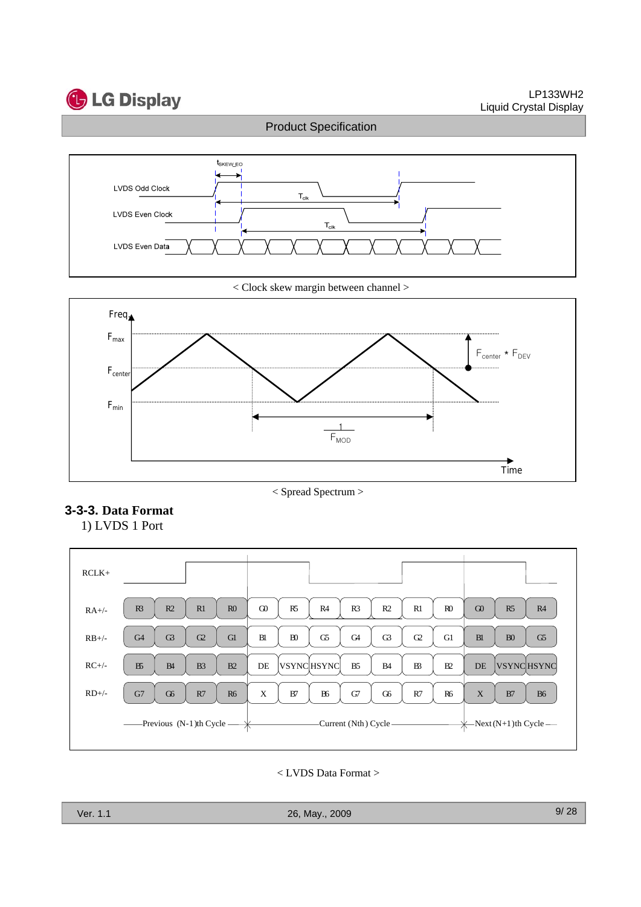



< Clock skew margin between channel >



## **3-3-3. Data Format**

1) LVDS 1 Port



< LVDS Data Format >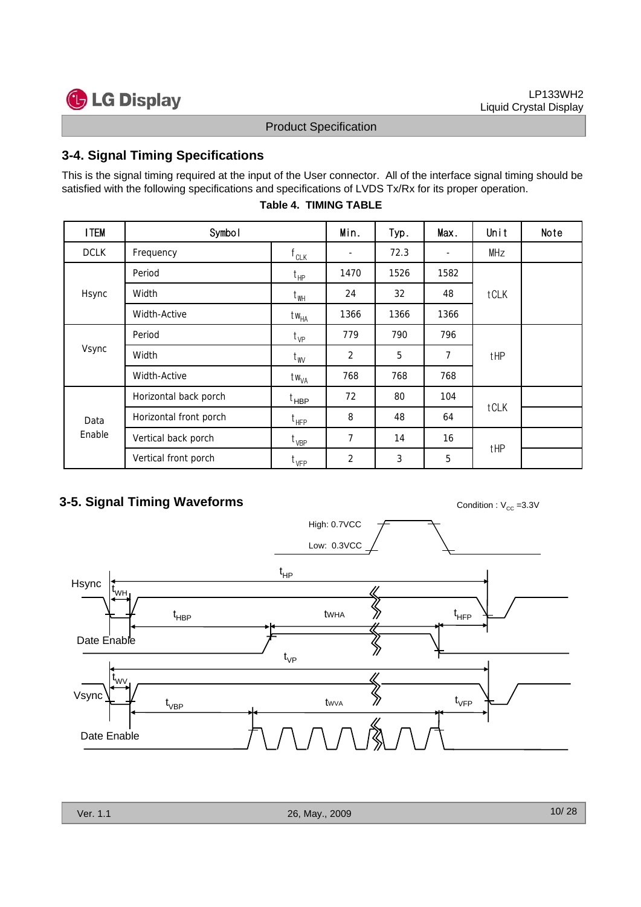## **3-4. Signal Timing Specifications**

This is the signal timing required at the input of the User connector. All of the interface signal timing should be satisfied with the following specifications and specifications of LVDS Tx/Rx for its proper operation.

| <b>I TEM</b> | Symbol                 |                   | Min.                     | Typ. | Max.                     | Unit | Note |
|--------------|------------------------|-------------------|--------------------------|------|--------------------------|------|------|
| <b>DCLK</b>  | Frequency              | $f_{CLK}$         | $\overline{\phantom{a}}$ | 72.3 | $\overline{\phantom{a}}$ | MHz  |      |
|              | Period                 | $t_{HP}$          | 1470                     | 1526 | 1582                     |      |      |
| Hsync        | Width                  | $t_{WH}$          | 24                       | 32   | 48                       | tCLK |      |
|              | <b>Width-Active</b>    | $tw_{HA}$         | 1366                     | 1366 | 1366                     |      |      |
|              | Period                 | $t_{VP}$          | 779                      | 790  | 796                      |      |      |
| Vsync        | Width                  | $t_{\text{W}}$    | $\overline{2}$           | 5    | $\overline{7}$           | tHP  |      |
|              | <b>Width-Active</b>    | t w <sub>VA</sub> | 768                      | 768  | 768                      |      |      |
|              | Horizontal back porch  | t <sub>HBP</sub>  | 72                       | 80   | 104                      |      |      |
| Data         | Horizontal front porch | $t_{HFP}$         | 8                        | 48   | 64                       | tCLK |      |
| Enable       | Vertical back porch    | $t_{VBP}$         | 7                        | 14   | 16                       |      |      |
|              | Vertical front porch   | $t_{VFP}$         | $\overline{2}$           | 3    | 5                        | tHP  |      |

#### **Table 4. TIMING TABLE**

## **3-5. Signal Timing Waveforms** Condition : V<sub>CC</sub> =3.3V

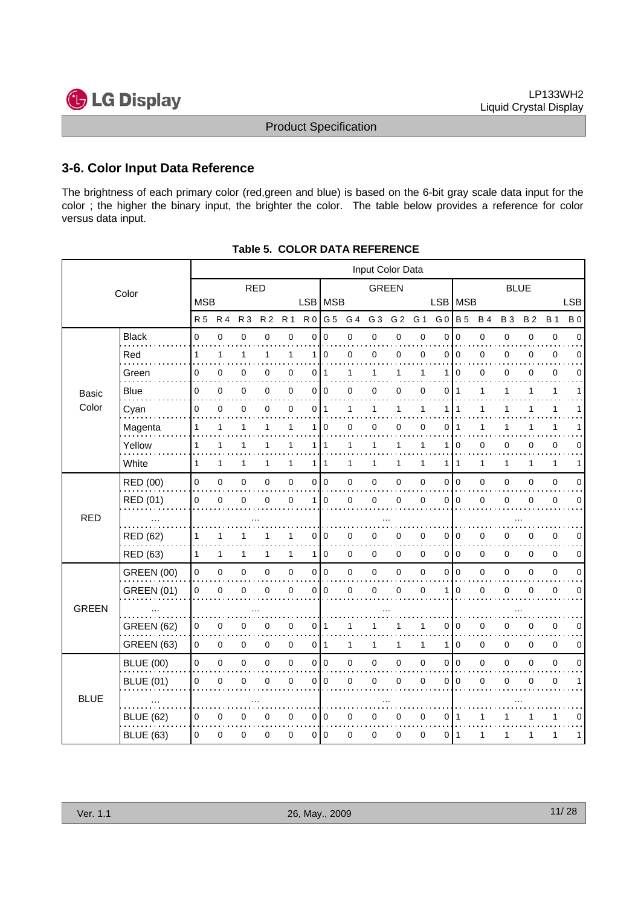## **3-6. Color Input Data Reference**

The brightness of each primary color (red,green and blue) is based on the 6-bit gray scale data input for the color ; the higher the binary input, the brighter the color. The table below provides a reference for color versus data input.

|              | Input Color Data  |              |              |                |                |              |                |              |     |                |                |              |                |                 |             |              |             |              |             |
|--------------|-------------------|--------------|--------------|----------------|----------------|--------------|----------------|--------------|-----|----------------|----------------|--------------|----------------|-----------------|-------------|--------------|-------------|--------------|-------------|
|              | Color             |              |              | <b>RED</b>     |                |              |                |              |     | <b>GREEN</b>   |                |              |                |                 |             | <b>BLUE</b>  |             |              |             |
|              |                   | <b>MSB</b>   |              |                |                |              | LSB MSB        |              |     |                |                |              |                | LSB   MSB       |             |              |             |              | <b>LSB</b>  |
|              |                   | <b>R5</b>    | <b>R4</b>    | R <sub>3</sub> | R <sub>2</sub> | <b>R1</b>    | R <sub>0</sub> | G 5          | G 4 | G <sub>3</sub> | G <sub>2</sub> | G 1          | G <sub>0</sub> | <b>B</b> 5      | <b>B4</b>   | <b>B3</b>    | <b>B2</b>   | <b>B</b> 1   | <b>B</b> 0  |
|              | <b>Black</b>      | 0            | 0            | $\pmb{0}$      | 0              | $\mathbf 0$  | 0              | $\mathbf 0$  | 0   | 0              | 0              | $\pmb{0}$    | $\mathbf 0$    | $\mathbf 0$     | $\mathbf 0$ | $\pmb{0}$    | $\mathbf 0$ | $\pmb{0}$    | $\Omega$    |
|              | Red               | $\mathbf{1}$ | $\mathbf{1}$ | 1              | 1              | 1            | 1              | $\mathbf 0$  | 0   | 0              | 0              | 0            | $\mathbf{0}$   | $\overline{0}$  | $\mathbf 0$ | $\mathbf 0$  | 0           | 0            | $\Omega$    |
|              | Green             | 0            | 0            | 0              | 0              | 0            | 0              | $\mathbf{1}$ | 1   | 1              | 1              | 1            | 1              | $\mathbf 0$     | $\mathbf 0$ | 0            | 0           | 0            | $\Omega$    |
| Basic        | Blue              | 0            | 0            | 0              | 0              | $\pmb{0}$    | 0              | 0            | 0   | 0              | 0              | 0            | 0              | $\mathbf 1$     | 1           | 1            | 1           | $\mathbf{1}$ | 1           |
| Color        | Cyan              | 0            | $\mathbf 0$  | $\mathbf 0$    | $\Omega$       | 0            | 0              | $\mathbf{1}$ | 1   | 1              | 1              | $\mathbf{1}$ | 1              | $\mathbf{1}$    | 1           | 1            | 1           | $\mathbf{1}$ |             |
|              | Magenta           | 1            | 1            | 1              | 1              | 1            | 1              | $\mathbf 0$  | 0   | 0              | 0              | 0            | 0              | 1               | 1           | 1            |             | 1            |             |
|              | Yellow            | 1            | 1            | 1              | 1              | 1            | 1 <sup>1</sup> | $\mathbf{1}$ | 1   | 1              | 1              | 1            | 1              | $\mathbf 0$     | $\mathbf 0$ | 0            | 0           | 0            | $\Omega$    |
|              | White             | $\mathbf{1}$ | $\mathbf{1}$ | 1              | 1              | $\mathbf{1}$ | 1 <sup>1</sup> | 1            | 1   | 1              | 1              | 1            | 1              | $\mathbf 1$     | 1           | $\mathbf{1}$ | 1           | $\mathbf{1}$ | 1           |
|              | RED (00)          | 0            | 0            | 0              | 0              | $\mathbf 0$  | 0              | $\mathbf 0$  | 0   | $\mathbf 0$    | 0              | 0            | 0              | I٥              | 0           | 0            | 0           | $\mathbf 0$  | $\mathbf 0$ |
|              | RED (01)          | 0            | 0            | 0              | 0              | 0            | 1              | $\mathbf 0$  | 0   | 0              | 0              | 0            | 0              | $\Omega$        | $\mathbf 0$ | 0            | 0           | 0            | $\Omega$    |
| <b>RED</b>   |                   |              |              |                |                |              |                |              |     |                |                |              |                |                 |             |              |             |              |             |
|              | <b>RED (62)</b>   | 1            | 1            | 1              |                | 1            | $\Omega$       | $\mathbf 0$  | 0   | 0              | 0              | 0            | 0              | $\mathbf 0$     | $\mathbf 0$ | 0            | $\Omega$    | 0            | $\mathbf 0$ |
|              | <b>RED (63)</b>   | $\mathbf{1}$ | $\mathbf{1}$ | 1              | 1              | $\mathbf{1}$ | 1              | $\mathbf 0$  | 0   | 0              | 0              | $\mathbf 0$  |                | 0 <sup>10</sup> | $\mathbf 0$ | 0            | $\mathbf 0$ | 0            | 0           |
|              | <b>GREEN (00)</b> | 0            | $\pmb{0}$    | 0              | 0              | $\pmb{0}$    | $\mathbf 0$    | $\pmb{0}$    | 0   | $\pmb{0}$      | 0              | $\pmb{0}$    | 0              | I٥              | $\pmb{0}$   | 0            | $\mathbf 0$ | $\pmb{0}$    | $\mathbf 0$ |
|              | <b>GREEN (01)</b> | 0            | 0            | 0              | 0              | 0            | 0              | $\mathbf 0$  | 0   | 0              | 0              | $\mathbf 0$  | 1              | $\mathbf 0$     | $\mathbf 0$ | 0            | 0           | 0            | 0           |
| <b>GREEN</b> |                   |              |              |                |                |              |                |              |     |                |                |              |                |                 |             |              |             |              |             |
|              | <b>GREEN (62)</b> | 0            | 0            | 0              | 0              | 0            | 0              | 1            | 1   |                | 1              | 1            | 0              | $\mathbf 0$     | 0           | 0            | 0           | 0            | 0           |
|              | <b>GREEN (63)</b> | 0            | 0            | 0              | 0              | $\pmb{0}$    | 0              | $\mathbf{1}$ | 1   | 1              | 1              | 1            | 1              | $\mathbf 0$     | $\pmb{0}$   | 0            | $\mathbf 0$ | $\mathbf 0$  | 0           |
|              | <b>BLUE (00)</b>  | 0            | $\mathbf 0$  | $\pmb{0}$      | 0              | $\mathsf 0$  |                | 0 0          | 0   | 0              | 0              | $\pmb{0}$    | $\mathbf 0$    | l 0             | $\pmb{0}$   | 0            | $\mathbf 0$ | $\pmb{0}$    | $\mathbf 0$ |
|              | <b>BLUE (01)</b>  | 0            | 0            | 0              | 0              | 0            | 0              | $\mathbf 0$  | 0   | 0              | 0              | 0            | 0              | l 0             | $\mathbf 0$ | 0            | $\mathbf 0$ | 0            | 1           |
| <b>BLUE</b>  |                   |              |              |                |                |              |                |              |     |                |                |              |                |                 |             |              |             |              |             |
|              | <b>BLUE (62)</b>  | 0            | 0            | 0              | 0              | $\mathbf 0$  | 0              | 0            | 0   | 0              | 0              | 0            | 0              | $\mathbf 1$     | 1           |              |             | 1            | $\Omega$    |
|              | <b>BLUE (63)</b>  | 0            | 0            | 0              | 0              | 0            | 0              | $\mathbf 0$  | 0   | 0              | 0              | $\mathbf 0$  | 011            |                 | 1           | 1            | 1           | 1            | 1           |

#### **Table 5. COLOR DATA REFERENCE**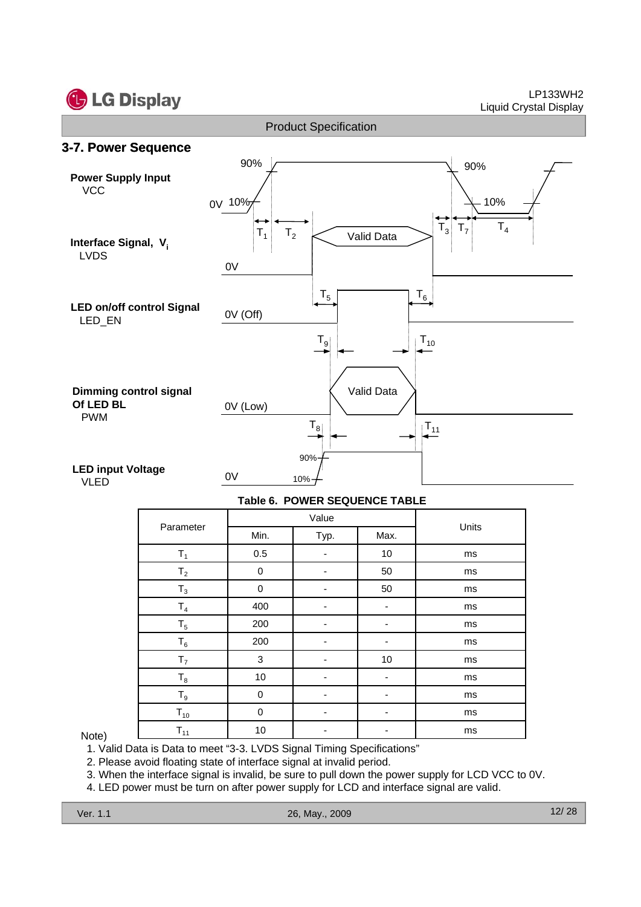



#### **Table 6. POWER SEQUENCE TABLE**

| Parameter      |         | Value |      | Units |  |  |
|----------------|---------|-------|------|-------|--|--|
|                | Min.    | Typ.  | Max. |       |  |  |
| $T_1$          | $0.5\,$ | -     | 10   | ms    |  |  |
| T <sub>2</sub> | 0       | -     | 50   | ms    |  |  |
| $T_3$          | 0       |       | 50   | ms    |  |  |
| $T_4$          | 400     |       | ۰    | ms    |  |  |
| $T_5$          | 200     |       |      | ms    |  |  |
| $T_6$          | 200     |       |      | ms    |  |  |
| T <sub>7</sub> | 3       |       | 10   | ms    |  |  |
| $\mathsf{T}_8$ | 10      |       |      | ms    |  |  |
| $T_9$          | 0       | -     | ۰    | ms    |  |  |
| $T_{10}$       | 0       |       | ۰    | ms    |  |  |
| $T_{11}$       | 10      |       |      | ms    |  |  |

#### Note)

1. Valid Data is Data to meet "3-3. LVDS Signal Timing Specifications"

2. Please avoid floating state of interface signal at invalid period.

3. When the interface signal is invalid, be sure to pull down the power supply for LCD VCC to 0V.

4. LED power must be turn on after power supply for LCD and interface signal are valid.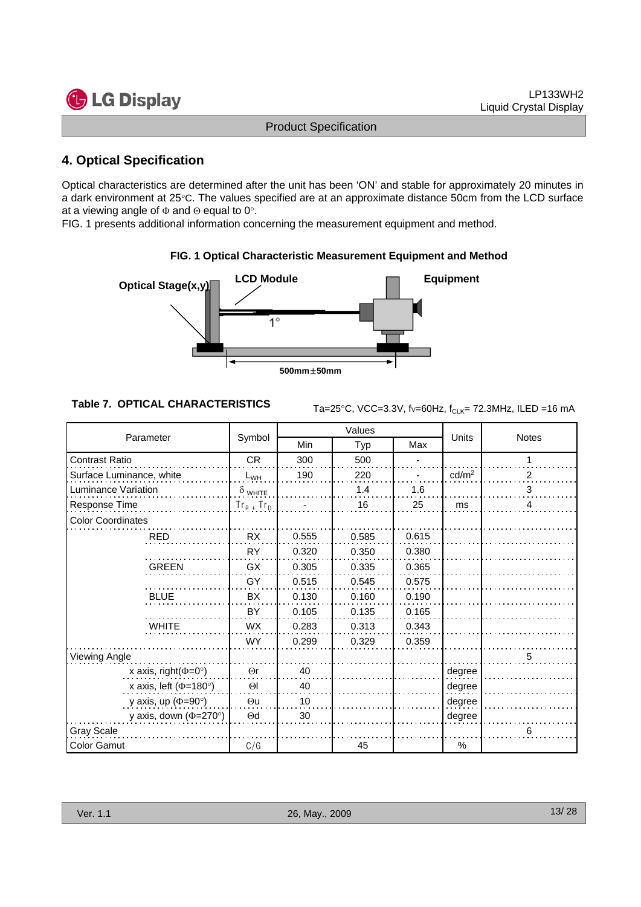

## **4. Optical Specification**

Optical characteristics are determined after the unit has been 'ON' and stable for approximately 20 minutes in a dark environment at 25°C. The values specified are at an approximate distance 50cm from the LCD surface at a viewing angle of  $\Phi$  and  $\Theta$  equal to 0°.

FIG. 1 presents additional information concerning the measurement equipment and method.



#### **FIG. 1 Optical Characteristic Measurement Equipment and Method**

**Table 7. OPTICAL CHARACTERISTICS**  $_{Ta=25\degree C, \text{ VCC}=3.3\text{V}, \text{fv}=60\text{Hz}, \text{fc1 K}=72.3\text{MHz}}$ , ILED =16 mA

| Parameter                    |                 |       | Values |       | Units             | <b>Notes</b> |  |
|------------------------------|-----------------|-------|--------|-------|-------------------|--------------|--|
|                              | Symbol          | Min   | Typ    | Max   |                   |              |  |
| <b>Contrast Ratio</b>        | <b>CR</b>       | 300   | 500    |       |                   |              |  |
| Surface Luminance, white     | $L_{WH}$        | 190   | 220    |       | cd/m <sup>2</sup> | 2            |  |
| Luminance Variation          | $\delta$ white  |       | 1.4    | 1.6   |                   | 3            |  |
| Response Time                | $Tr_R$ + $Tr_D$ |       | 16     | 25    | ms                | 4            |  |
| <b>Color Coordinates</b>     |                 |       |        |       |                   |              |  |
| <b>RED</b>                   | <b>RX</b>       | 0.555 | 0.585  | 0.615 |                   |              |  |
|                              | <b>RY</b>       | 0.320 | 0.350  | 0.380 |                   |              |  |
| <b>GREEN</b>                 | <b>GX</b>       | 0.305 | 0.335  | 0.365 |                   |              |  |
|                              | GY              | 0.515 | 0.545  | 0.575 |                   |              |  |
| <b>BLUE</b>                  | BX              | 0.130 | 0.160  | 0.190 |                   |              |  |
|                              | BY              | 0.105 | 0.135  | 0.165 |                   |              |  |
| <b>WHITE</b>                 | <b>WX</b>       | 0.283 | 0.313  | 0.343 |                   |              |  |
|                              | <b>WY</b>       | 0.299 | 0.329  | 0.359 |                   |              |  |
| Viewing Angle                |                 |       |        |       |                   | 5            |  |
| x axis, right( $\Phi$ =0°)   | $\Theta$ r      | 40    |        |       | degree            |              |  |
| x axis, left ( $\Phi$ =180°) | $\Theta$        | 40    |        |       | degree            |              |  |
| y axis, up ( $\Phi$ =90°)    | $\Theta$ u      | 10    |        |       | degree            |              |  |
| y axis, down ( $\Phi$ =270°) | $\Theta$ d      | 30    |        |       | degree            |              |  |
| <b>Gray Scale</b>            |                 |       |        |       |                   | 6            |  |
| <b>Color Gamut</b>           | C/G             |       | 45     |       | %                 |              |  |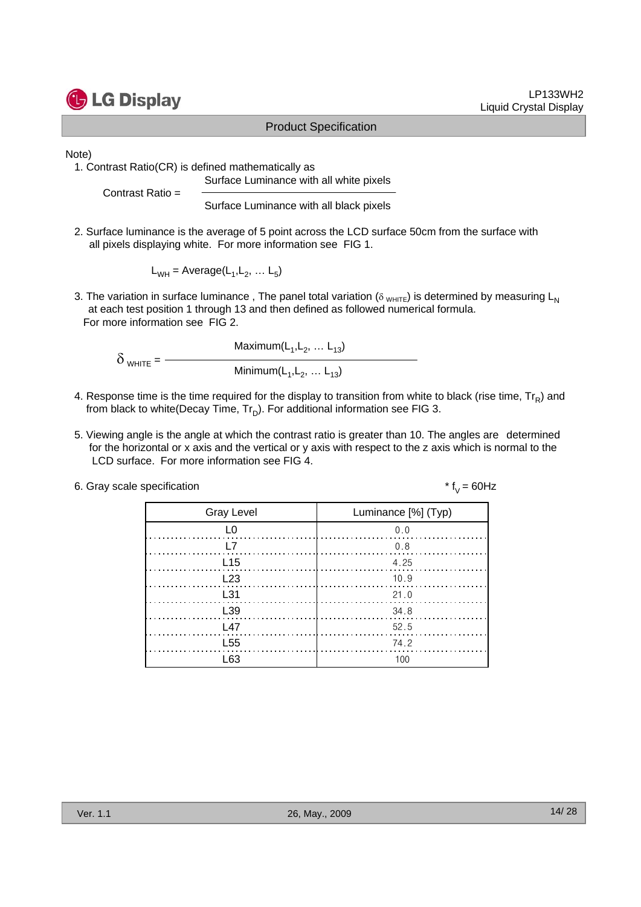

Note)

1. Contrast Ratio(CR) is defined mathematically as

Surface Luminance with all white pixels

Contrast Ratio =

Surface Luminance with all black pixels

2. Surface luminance is the average of 5 point across the LCD surface 50cm from the surface with all pixels displaying white. For more information see FIG 1.

 $L_{WH}$  = Average( $L_1, L_2, \ldots L_5$ )

3. The variation in surface luminance, The panel total variation ( $\delta_{WHTE}$ ) is determined by measuring L<sub>N</sub> at each test position 1 through 13 and then defined as followed numerical formula. For more information see FIG 2.

Maximum $(L_1, L_2, ... L_{13})$ δ WHITE <sup>=</sup> Minimum(L<sub>1</sub>, L<sub>2</sub>, ... L<sub>13</sub>)

- 4. Response time is the time required for the display to transition from white to black (rise time,  $Tr_R$ ) and from black to white(Decay Time,  $Tr_D$ ). For additional information see FIG 3.
- 5. Viewing angle is the angle at which the contrast ratio is greater than 10. The angles are determined for the horizontal or x axis and the vertical or y axis with respect to the z axis which is normal to the LCD surface. For more information see FIG 4.
- 6. Gray scale specification  $* f_y = 60Hz$

| <b>Gray Level</b>     | Luminance [%] (Typ)                                                                                                                                                                                                                                                                                                                                               |
|-----------------------|-------------------------------------------------------------------------------------------------------------------------------------------------------------------------------------------------------------------------------------------------------------------------------------------------------------------------------------------------------------------|
| L <sub>0</sub>        | 0.0                                                                                                                                                                                                                                                                                                                                                               |
| <b>T</b>              | $\begin{picture}(100,100) \put(0,0){\vector(1,0){100}} \put(15,0){\vector(1,0){100}} \put(15,0){\vector(1,0){100}} \put(15,0){\vector(1,0){100}} \put(15,0){\vector(1,0){100}} \put(15,0){\vector(1,0){100}} \put(15,0){\vector(1,0){100}} \put(15,0){\vector(1,0){100}} \put(15,0){\vector(1,0){100}} \put(15,0){\vector(1,0){100}} \put(15,0){\vector(1,0){100$ |
| L <sub>15</sub>       | 4.25                                                                                                                                                                                                                                                                                                                                                              |
| L <sub>23</sub>       | 10.9                                                                                                                                                                                                                                                                                                                                                              |
| $\lfloor .31 \rfloor$ | 21.0                                                                                                                                                                                                                                                                                                                                                              |
| L <sub>39</sub>       | - 34.8                                                                                                                                                                                                                                                                                                                                                            |
| L47                   | 52.5                                                                                                                                                                                                                                                                                                                                                              |
| L <sub>55</sub>       | 74.2                                                                                                                                                                                                                                                                                                                                                              |
| । 63                  | 100                                                                                                                                                                                                                                                                                                                                                               |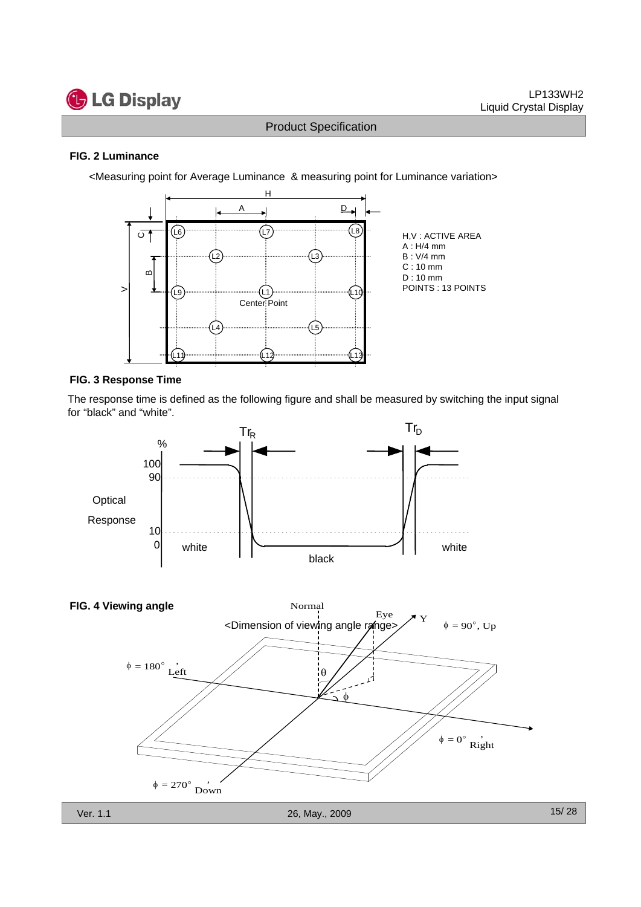

#### **FIG. 2 Luminance**

<Measuring point for Average Luminance & measuring point for Luminance variation>



#### **FIG. 3 Response Time**

The response time is defined as the following figure and shall be measured by switching the input signal for "black" and "white".

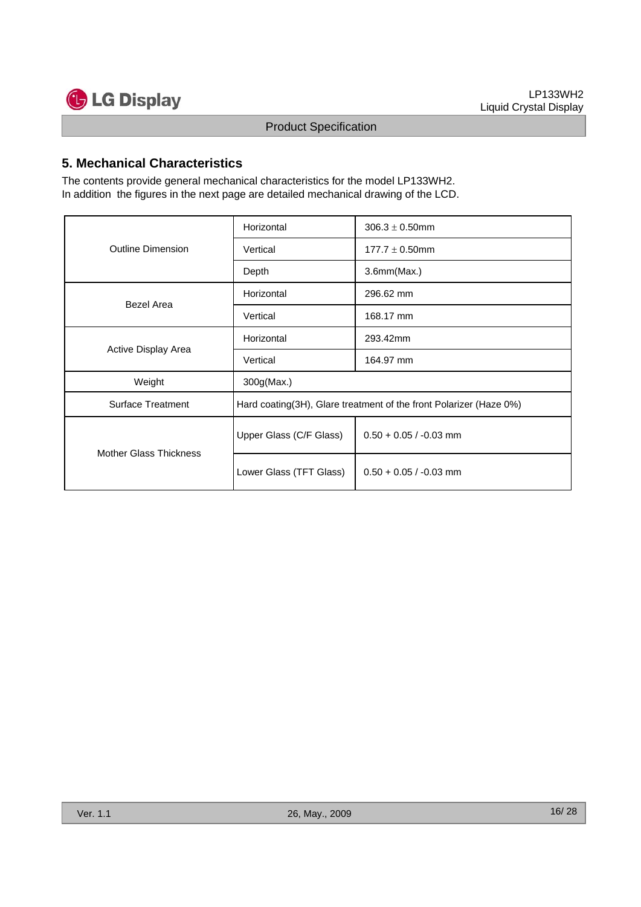

## **5. Mechanical Characteristics**

The contents provide general mechanical characteristics for the model LP133WH2. In addition the figures in the next page are detailed mechanical drawing of the LCD.

|                               | Horizontal              | $306.3 \pm 0.50$ mm                                                |  |  |  |  |
|-------------------------------|-------------------------|--------------------------------------------------------------------|--|--|--|--|
| <b>Outline Dimension</b>      | Vertical                | $177.7 \pm 0.50$ mm                                                |  |  |  |  |
|                               | Depth                   | 3.6mm(Max.)                                                        |  |  |  |  |
| Bezel Area                    | Horizontal              | 296.62 mm                                                          |  |  |  |  |
|                               | Vertical                | 168.17 mm                                                          |  |  |  |  |
| Active Display Area           | Horizontal              | 293.42mm                                                           |  |  |  |  |
|                               | Vertical                | 164.97 mm                                                          |  |  |  |  |
| Weight                        | 300g(Max.)              |                                                                    |  |  |  |  |
| <b>Surface Treatment</b>      |                         | Hard coating(3H), Glare treatment of the front Polarizer (Haze 0%) |  |  |  |  |
| <b>Mother Glass Thickness</b> | Upper Glass (C/F Glass) | $0.50 + 0.05 / -0.03$ mm                                           |  |  |  |  |
|                               | Lower Glass (TFT Glass) | $0.50 + 0.05 / -0.03$ mm                                           |  |  |  |  |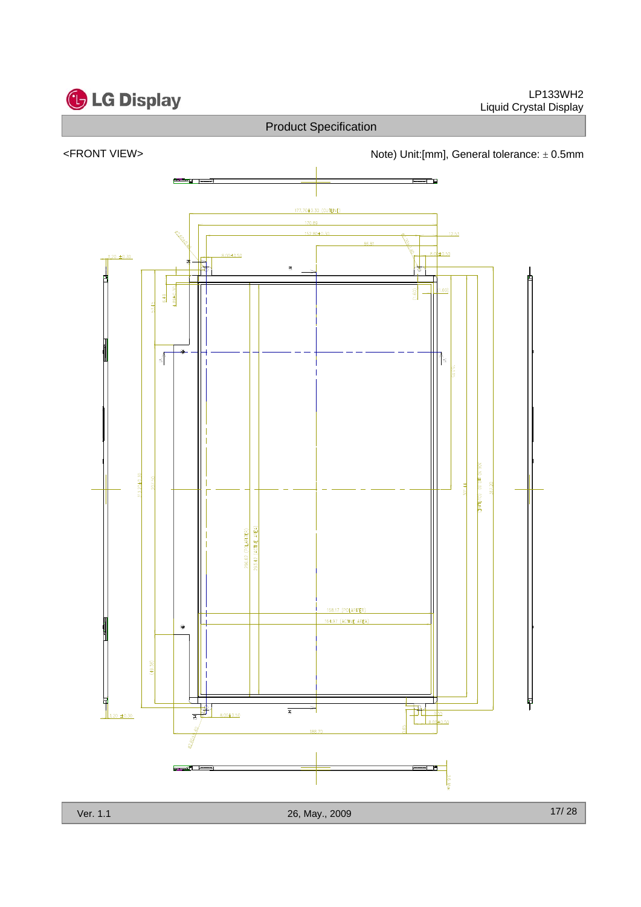

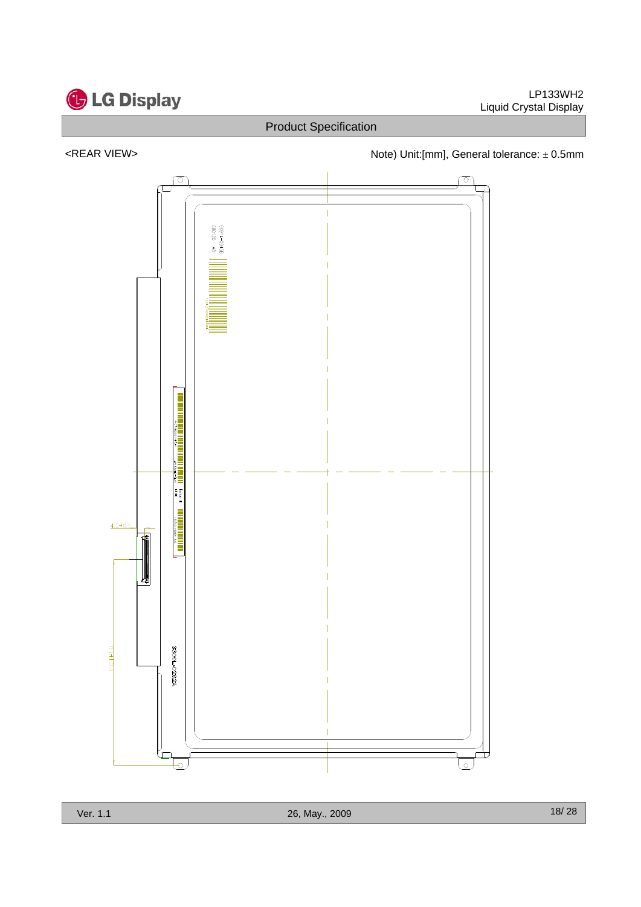

## <REAR VIEW> <networkstate of the Note) Unit:[mm], General tolerance: ± 0.5mm

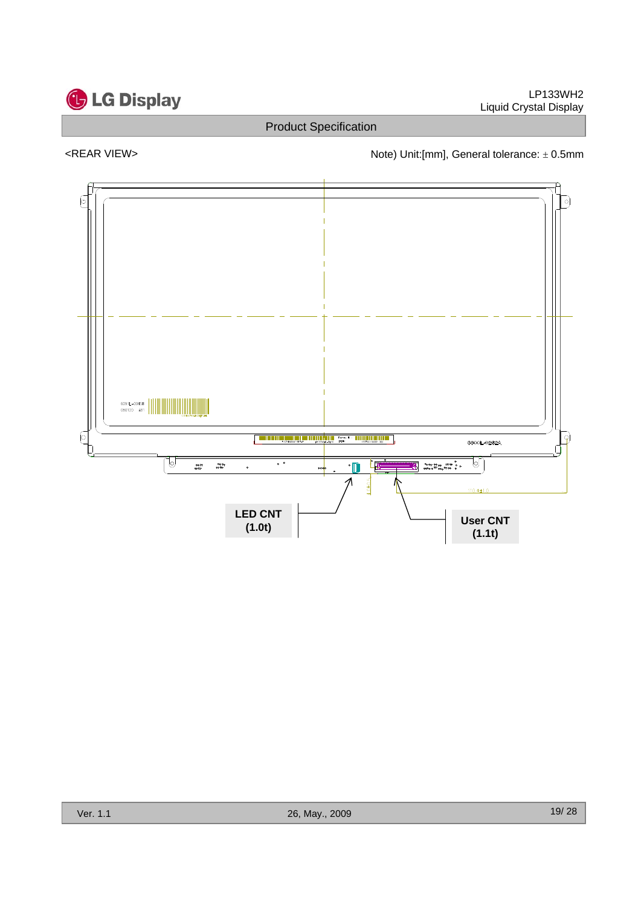

## <REAR VIEW> <networkstate of the Note) Unit:[mm], General tolerance: ± 0.5mm

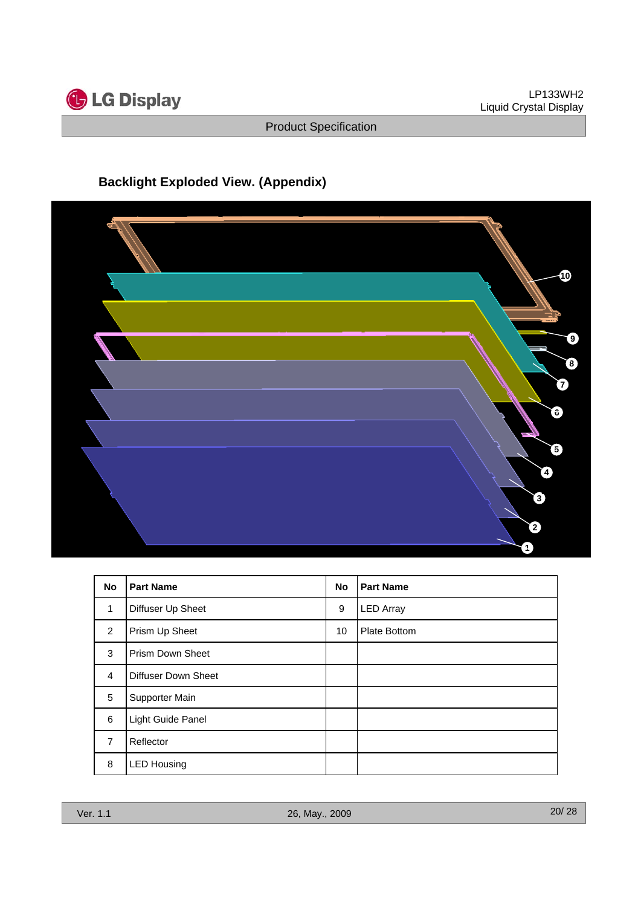

## **Backlight Exploded View. (Appendix)**



| <b>No</b>      | <b>Part Name</b>           | <b>No</b> | <b>Part Name</b> |
|----------------|----------------------------|-----------|------------------|
| 1              | Diffuser Up Sheet          | 9         | <b>LED Array</b> |
| 2              | Prism Up Sheet             | 10        | Plate Bottom     |
| 3              | <b>Prism Down Sheet</b>    |           |                  |
| 4              | <b>Diffuser Down Sheet</b> |           |                  |
| 5              | Supporter Main             |           |                  |
| 6              | Light Guide Panel          |           |                  |
| $\overline{7}$ | Reflector                  |           |                  |
| 8              | <b>LED Housing</b>         |           |                  |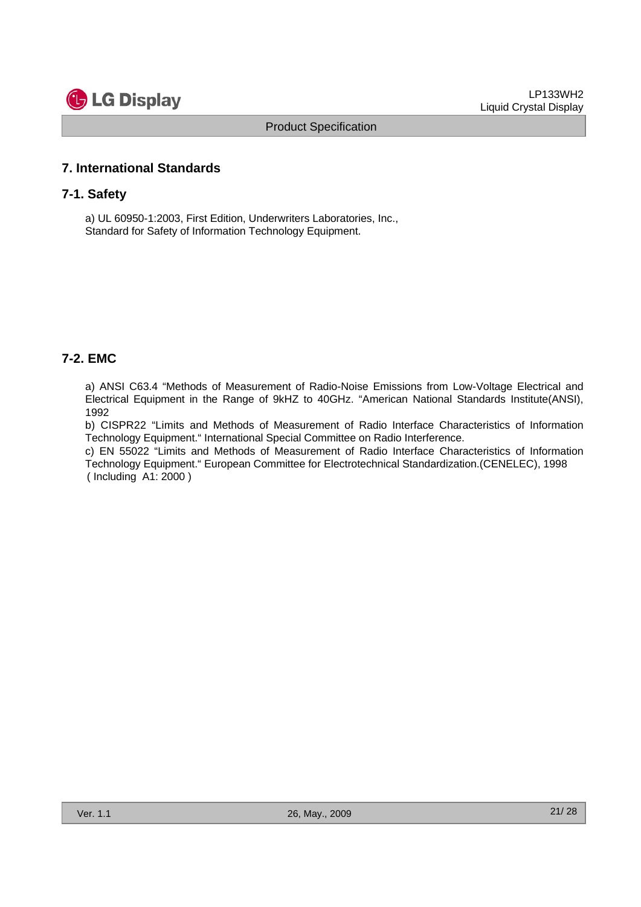

## **7. International Standards**

#### **7-1. Safety**

a) UL 60950-1:2003, First Edition, Underwriters Laboratories, Inc., Standard for Safety of Information Technology Equipment.

#### **7-2. EMC**

a) ANSI C63.4 "Methods of Measurement of Radio-Noise Emissions from Low-Voltage Electrical and Electrical Equipment in the Range of 9kHZ to 40GHz. "American National Standards Institute(ANSI), 1992

b) CISPR22 "Limits and Methods of Measurement of Radio Interface Characteristics of Information Technology Equipment." International Special Committee on Radio Interference.

c) EN 55022 "Limits and Methods of Measurement of Radio Interface Characteristics of Information Technology Equipment." European Committee for Electrotechnical Standardization.(CENELEC), 1998 ( Including A1: 2000 )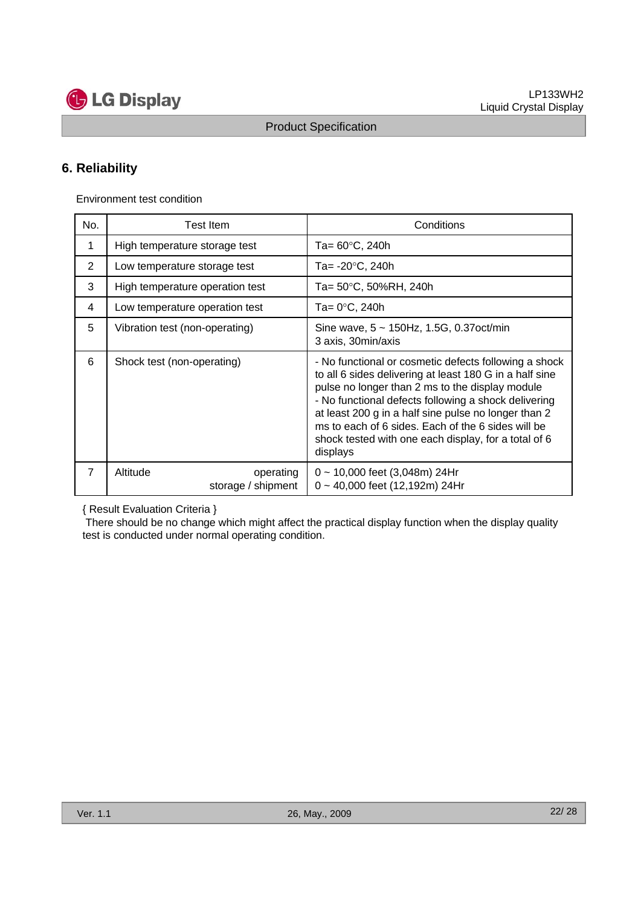

## **6. Reliability**

Environment test condition

| No.            | <b>Test Item</b>                            | Conditions                                                                                                                                                                                                                                                                                                                                                                                                    |
|----------------|---------------------------------------------|---------------------------------------------------------------------------------------------------------------------------------------------------------------------------------------------------------------------------------------------------------------------------------------------------------------------------------------------------------------------------------------------------------------|
| 1              | High temperature storage test               | Ta= $60^{\circ}$ C, 240h                                                                                                                                                                                                                                                                                                                                                                                      |
| 2              | Low temperature storage test                | Ta= -20°C, 240h                                                                                                                                                                                                                                                                                                                                                                                               |
| 3              | High temperature operation test             | Ta= 50°C, 50%RH, 240h                                                                                                                                                                                                                                                                                                                                                                                         |
| 4              | Low temperature operation test              | Ta= 0°C, 240h                                                                                                                                                                                                                                                                                                                                                                                                 |
| 5              | Vibration test (non-operating)              | Sine wave, $5 \sim 150$ Hz, 1.5G, 0.37oct/min<br>3 axis, 30 min/axis                                                                                                                                                                                                                                                                                                                                          |
| 6              | Shock test (non-operating)                  | - No functional or cosmetic defects following a shock<br>to all 6 sides delivering at least 180 G in a half sine<br>pulse no longer than 2 ms to the display module<br>- No functional defects following a shock delivering<br>at least 200 g in a half sine pulse no longer than 2<br>ms to each of 6 sides. Each of the 6 sides will be<br>shock tested with one each display, for a total of 6<br>displays |
| $\overline{7}$ | Altitude<br>operating<br>storage / shipment | $0 \sim 10,000$ feet (3,048m) 24Hr<br>$0 \sim 40,000$ feet (12,192m) 24Hr                                                                                                                                                                                                                                                                                                                                     |

{ Result Evaluation Criteria }

There should be no change which might affect the practical display function when the display quality test is conducted under normal operating condition.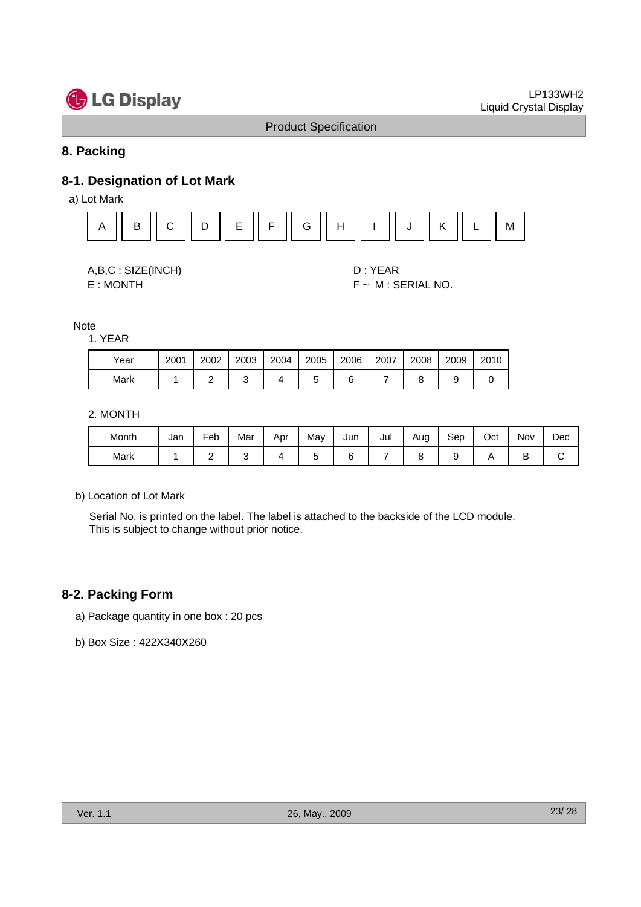

## **8. Packing**

## **8-1. Designation of Lot Mark**

a) Lot Mark



A,B,C : SIZE(INCH) D : YEAR

E : MONTH F ~ M : SERIAL NO.

#### Note

#### 1. YEAR

| Year | 2001 | 2002 | 2003 | 2004 | 2005 | 2006 | 2007 | 2008 | 2009 | 2010 |
|------|------|------|------|------|------|------|------|------|------|------|
| Mark |      |      |      |      |      |      |      |      |      |      |

#### 2. MONTH

| Month | Jan | Feb | Mar | Apr | May | Jun | Jul | Aug<br>c | Sep | Oct | Nov | Dec |
|-------|-----|-----|-----|-----|-----|-----|-----|----------|-----|-----|-----|-----|
| Mark  |     | -   |     |     |     |     |     |          |     |     | ∽   |     |

#### b) Location of Lot Mark

Serial No. is printed on the label. The label is attached to the backside of the LCD module. This is subject to change without prior notice.

## **8-2. Packing Form**

- a) Package quantity in one box : 20 pcs
- b) Box Size : 422X340X260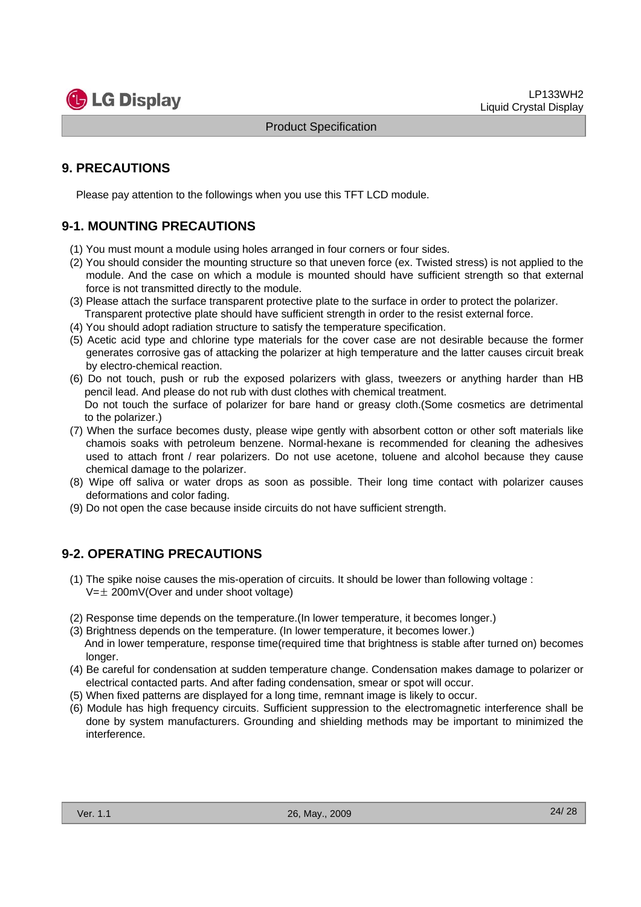

## **9. PRECAUTIONS**

Please pay attention to the followings when you use this TFT LCD module.

## **9-1. MOUNTING PRECAUTIONS**

- (1) You must mount a module using holes arranged in four corners or four sides.
- (2) You should consider the mounting structure so that uneven force (ex. Twisted stress) is not applied to the module. And the case on which a module is mounted should have sufficient strength so that external force is not transmitted directly to the module.
- (3) Please attach the surface transparent protective plate to the surface in order to protect the polarizer. Transparent protective plate should have sufficient strength in order to the resist external force.
- (4) You should adopt radiation structure to satisfy the temperature specification.
- (5) Acetic acid type and chlorine type materials for the cover case are not desirable because the former generates corrosive gas of attacking the polarizer at high temperature and the latter causes circuit break by electro-chemical reaction.
- (6) Do not touch, push or rub the exposed polarizers with glass, tweezers or anything harder than HB pencil lead. And please do not rub with dust clothes with chemical treatment. Do not touch the surface of polarizer for bare hand or greasy cloth.(Some cosmetics are detrimental to the polarizer.)
- (7) When the surface becomes dusty, please wipe gently with absorbent cotton or other soft materials like chamois soaks with petroleum benzene. Normal-hexane is recommended for cleaning the adhesives used to attach front / rear polarizers. Do not use acetone, toluene and alcohol because they cause chemical damage to the polarizer.
- (8) Wipe off saliva or water drops as soon as possible. Their long time contact with polarizer causes deformations and color fading.
- (9) Do not open the case because inside circuits do not have sufficient strength.

## **9-2. OPERATING PRECAUTIONS**

- (1) The spike noise causes the mis-operation of circuits. It should be lower than following voltage :  $V=\pm 200$ mV(Over and under shoot voltage)
- (2) Response time depends on the temperature.(In lower temperature, it becomes longer.)
- (3) Brightness depends on the temperature. (In lower temperature, it becomes lower.) And in lower temperature, response time(required time that brightness is stable after turned on) becomes longer.
- (4) Be careful for condensation at sudden temperature change. Condensation makes damage to polarizer or electrical contacted parts. And after fading condensation, smear or spot will occur.
- (5) When fixed patterns are displayed for a long time, remnant image is likely to occur.
- (6) Module has high frequency circuits. Sufficient suppression to the electromagnetic interference shall be done by system manufacturers. Grounding and shielding methods may be important to minimized the interference.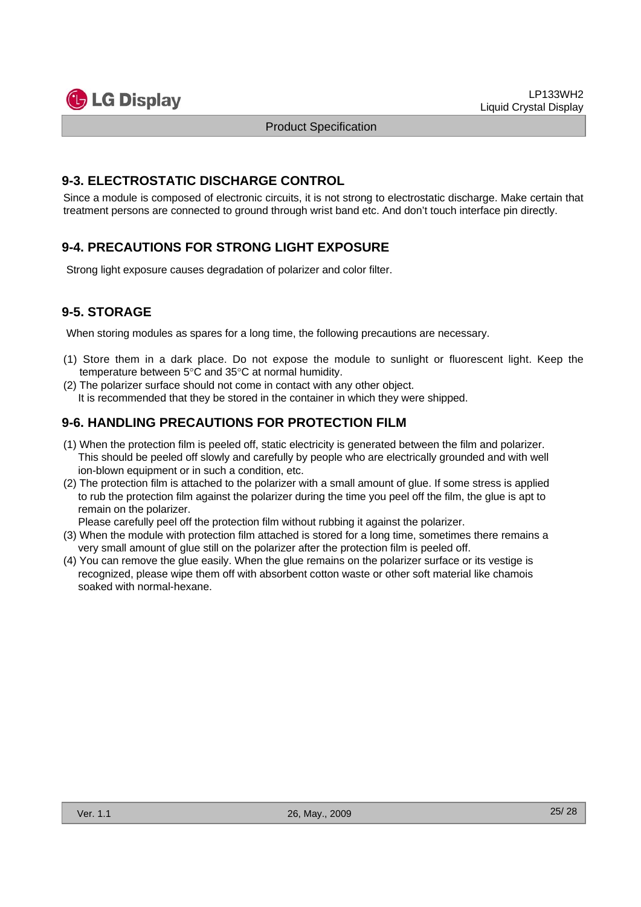

## **9-3. ELECTROSTATIC DISCHARGE CONTROL**

Since a module is composed of electronic circuits, it is not strong to electrostatic discharge. Make certain that treatment persons are connected to ground through wrist band etc. And don't touch interface pin directly.

## **9-4. PRECAUTIONS FOR STRONG LIGHT EXPOSURE**

Strong light exposure causes degradation of polarizer and color filter.

## **9-5. STORAGE**

When storing modules as spares for a long time, the following precautions are necessary.

- (1) Store them in a dark place. Do not expose the module to sunlight or fluorescent light. Keep the temperature between 5°C and 35°C at normal humidity.
- (2) The polarizer surface should not come in contact with any other object. It is recommended that they be stored in the container in which they were shipped.

## **9-6. HANDLING PRECAUTIONS FOR PROTECTION FILM**

- (1) When the protection film is peeled off, static electricity is generated between the film and polarizer. This should be peeled off slowly and carefully by people who are electrically grounded and with well ion-blown equipment or in such a condition, etc.
- (2) The protection film is attached to the polarizer with a small amount of glue. If some stress is applied to rub the protection film against the polarizer during the time you peel off the film, the glue is apt to remain on the polarizer.

Please carefully peel off the protection film without rubbing it against the polarizer.

- (3) When the module with protection film attached is stored for a long time, sometimes there remains a very small amount of glue still on the polarizer after the protection film is peeled off.
- (4) You can remove the glue easily. When the glue remains on the polarizer surface or its vestige is recognized, please wipe them off with absorbent cotton waste or other soft material like chamois soaked with normal-hexane.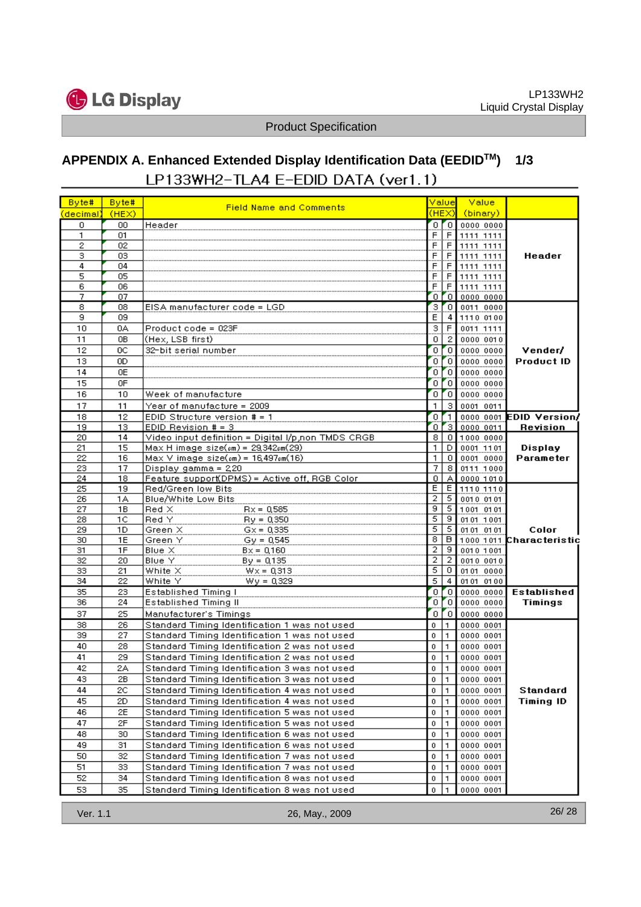

# **APPENDIX A. Enhanced Extended Display Identification Data (EEDIDTM) 1/3**LP133WH2-TLA4 E-EDID DATA (ver1.1)

| Byte#     | Byte#    |                                                            | Value            |                     | Value                                     |                                     |
|-----------|----------|------------------------------------------------------------|------------------|---------------------|-------------------------------------------|-------------------------------------|
| (decimal) | (HEX)    | <b>Field Name and Comments</b>                             | (HEX)            |                     | (binary)                                  |                                     |
| 0         | 00       | Header                                                     |                  | orol                | 0000 0000                                 |                                     |
| 1         | 01       |                                                            | F                | $rac{F}{F}$         | 1111 1111                                 |                                     |
| 2         | 02       |                                                            | F                |                     | 1111 1111                                 |                                     |
| з         | 03       |                                                            | F                |                     | F 1111 1111<br>F 1111 1111<br>F 1111 1111 | Header                              |
| 4         | 04       |                                                            | F                |                     |                                           |                                     |
| 5         | 05       |                                                            | F                |                     |                                           |                                     |
| 6<br>7    | 06       |                                                            | F                | F<br>0 <sub>0</sub> | 1111 1111                                 |                                     |
| 8         | 07<br>08 | EISA manufacturer code = LGD                               | З.               | $\sigma$            | 0000 0000<br>0011 0000                    |                                     |
| 9         | 09       |                                                            | E                | 4 <sub>1</sub>      | 1110 0100                                 |                                     |
| 10        | 0A       | Product code = 023F                                        | з                |                     | 0011 1111                                 |                                     |
| 11        | 0B       | (Hex, LSB first)                                           | 0.               | $\frac{F}{2}$       | 0000 0010                                 |                                     |
| 12        | 0C       | 32-bit serial number                                       | O.               | $\lceil 0 \rceil$   | 0000 0000                                 | Vender/                             |
| 13        | 0D       |                                                            | 0.               | "o                  | 0000 0000                                 | <b>Product ID</b>                   |
| 14        | 0E       |                                                            |                  | o Fol               | 0000 0000                                 |                                     |
| 15        | 0F       |                                                            | οľ               | $\overline{0}$      | 0000 0000                                 |                                     |
| 16        | 10       | Week of manufacture                                        | 0.               | ٥I                  | 0000 0000                                 |                                     |
| 17        | 11       | Year of manufacture = 2009                                 | 1.               | 3 <sup>1</sup>      | 0001 0011                                 |                                     |
| 18        | 12       | EDID Structure version $# = 1$                             |                  | $0$ [1]             |                                           | 0000 0001 EDID Version/             |
| 19        | 13       | EDID Revision $# = 3$                                      |                  |                     | 0 3 0000 0011                             | Revision                            |
| 20        | 14       | Video input definition = Digital I/p,non TMDS CRGB         | 8                |                     | $0$ 1000 0000                             |                                     |
| 21        | 15       | $Max H$ image size $(\text{cm}) = 29,342 \text{cm}$ $(29)$ | $\mathbf{1}$     | $\mathsf{D}$        | 0001 1101                                 | <b>Display</b>                      |
| 22        | 16       | $Max V$ image $size(cm) = 16,497cm(16)$                    | 1                | $\circ$             | 0001 0000                                 | Parameter                           |
| 23        | 17       | Display gamma = 220                                        | 7.               | 8 <sup>1</sup>      | 0111 1000                                 |                                     |
| 24        | 18       | Feature support(DPMS) = Active off, RGB Color              | 0.               |                     | A 0000 1010                               |                                     |
| 25        | 19       | Red/Green low Bits                                         | E.               |                     | $E$ 1110 1110                             |                                     |
| 26        | 1А       | Blue/White Low Bits                                        | $\overline{2}$   | 5 <sub>1</sub>      | 0010 0101                                 |                                     |
| 27        | 1B       | $Red \times$<br>$Rx = 0,585$                               | $\overline{9}$   | $\overline{5}$      | 1001 0101                                 |                                     |
| 28        | 1C       | Red Y<br>$Py = 0.350$                                      | 5                | $\overline{9}$      | 0101 1001                                 |                                     |
| 29        | 1D.      | Green X<br>$Gx = 0,335$                                    | 5<br>8           | $\overline{5}$      | 0101 0101                                 | Color                               |
| 30<br>31  | 1E<br>1F | Green Y<br>$Gy = 0,545$<br>$B$ lue $X$                     | 2                | 9                   | 0010 1001                                 | $\theta$   1000 1011 Characteristic |
| 32        | 20       | $Bx = 0,160$<br>Blue Y<br>$By = 0.135$                     | $\overline{2}$   | $\overline{2}$      | 0010 0010                                 |                                     |
| 33        | 21       | White $\times$<br>$Wx = 0.313$                             | $\overline{5}$   | $\overline{0}$      | 0101 0000                                 |                                     |
| 34        | 22       | White Y<br>$Wy = 0.329$                                    | 5.               | $\overline{4}$      | 0101 0100                                 |                                     |
| 35        | 23       | Established Timing I                                       |                  | $0$ [ $0$ ]         | 0000 0000                                 | <b>Established</b>                  |
| 36        | 24       | Established Timing II                                      | 0                | ÖΪ                  | 0000 0000                                 | Timings                             |
| 37        | 25       | Manufacturer's Timings                                     | 0.               | $\overline{0}$      | 0000 0000                                 |                                     |
| 38        | 26       | Standard Timing Identification 1 was not used              | $\mathbf{0}$     | I1.                 | 0000 0001                                 |                                     |
| 39        | 27       | Standard Timing Identification 1 was not used              | $\bf{0}$         | 1                   | 0000 0001                                 |                                     |
| 40        | 28       | Standard Timing Identification 2 was not used              | $\mathbf{0}$     | 1                   | 0000 0001                                 |                                     |
| 41        | 29       | Standard Timing Identification 2 was not used              | $\mathbf{0}$     | 1                   | 0000 0001                                 |                                     |
| 42        | 2A       | Standard Timing Identification 3 was not used              | $\mathbf 0$      | $\mathbf{1}$        | 0000 0001                                 |                                     |
| 43        | 2В       | Standard Timing Identification 3 was not used              | 0                | $\vert$ 1           | 0000 0001                                 |                                     |
| 44        | 2C       | Standard Timing Identification 4 was not used              | 0                | 1                   | 0000 0001                                 | Standard                            |
| 45        | 2D       | Standard Timing Identification 4 was not used              | 0                | 1                   | 0000 0001                                 | <b>Timing ID</b>                    |
| 46        | 2E       | Standard Timing Identification 5 was not used              | $\mathbf{0}$     | 1                   | 0000 0001                                 |                                     |
| 47        | 2F       | Standard Timing Identification 5 was not used              | 0                | $\mathbf{1}$        | 0000 0001                                 |                                     |
| 48        | 30       | Standard Timing Identification 6 was not used              | $\boldsymbol{0}$ | 1                   | 0000 0001                                 |                                     |
| 49        | 31       | Standard Timing Identification 6 was not used              | 0                | 1                   | 0000 0001                                 |                                     |
| 50        | 32       | Standard Timing Identification 7 was not used              | 0                | 1                   | 0000 0001                                 |                                     |
| 51        | 33       | Standard Timing Identification 7 was not used              | 0                | $\mathbf{1}$        | 0000 0001                                 |                                     |
| 52        | 34       | Standard Timing Identification 8 was not used              | 0                | 1                   | 0000 0001                                 |                                     |
| 53        | 35       | Standard Timing Identification 8 was not used              | $\mathbf{0}$     | 1                   | 0000 0001                                 |                                     |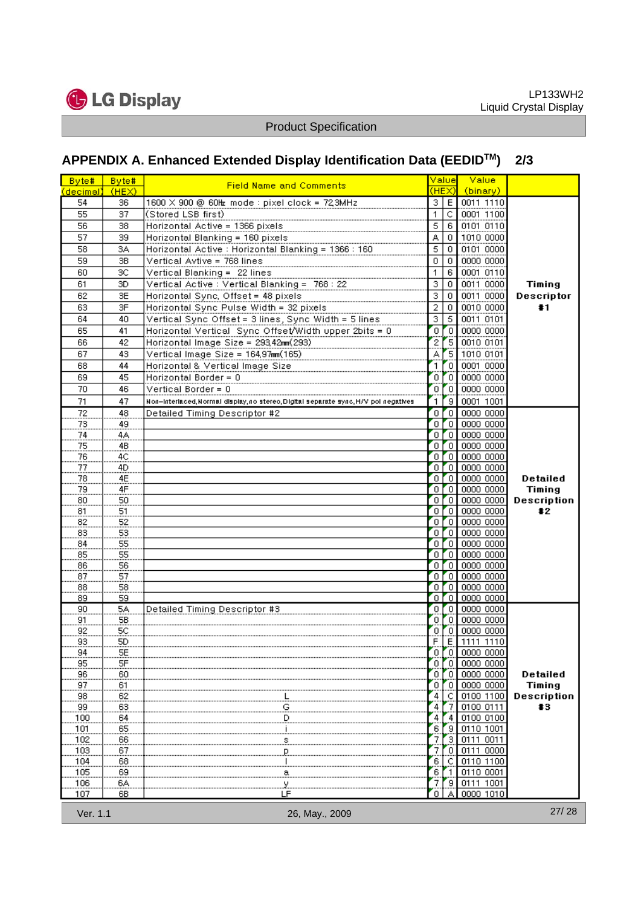

# **APPENDIX A. Enhanced Extended Display Identification Data (EEDIDTM) 2/3**

| Byte#           | Byte#    | <b>Field Name and Comments</b>                                                      | Value                     |                          | <b>Value</b>                                                                                                                                               |               |
|-----------------|----------|-------------------------------------------------------------------------------------|---------------------------|--------------------------|------------------------------------------------------------------------------------------------------------------------------------------------------------|---------------|
| (decimal) (HEX) |          |                                                                                     |                           | (HEX)L                   | (binary)                                                                                                                                                   |               |
| 54              | 36       | 1600 X 900 @ 60Hz mode : pixel clock = 72,3MHz                                      | 3                         |                          | E 0011 1110                                                                                                                                                |               |
| 55              | 37       | (Stored LSB first)                                                                  | $\mathbf{1}$              |                          | C 0001 1100                                                                                                                                                |               |
| 56              | 38       | Horizontal Active = 1366 pixels                                                     | $\overline{5}$            | -6 I                     | 0101 0110                                                                                                                                                  |               |
| 57              | 39       | Horizontal Blanking = 160 pixels                                                    | Ā                         | $\mathbf 0$              | 1010 0000                                                                                                                                                  |               |
| 58              | 3A       | Horizontal Active : Horizontal Blanking = 1366 : 160                                | $\overline{5}$            | $\overline{0}$           | 0101 0000                                                                                                                                                  |               |
| 59              | 3B       | Vertical Avtive = 768 lines                                                         | $\overline{\mathfrak{o}}$ | $\overline{0}$           | 0000 0000                                                                                                                                                  |               |
| 60              | 3C       | Vertical Blanking = 22 lines                                                        | 1                         | 6                        | 0001 0110                                                                                                                                                  |               |
| 61              | 3D       | Vertical Active : Vertical Blanking = 768 : 22                                      | 3                         | $\overline{0}$           | 0011 0000                                                                                                                                                  | <b>Timing</b> |
| 62              | 3E       | Horizontal Sync, Offset = 48 pixels                                                 | 3                         | $\overline{0}$           | 0011 0000                                                                                                                                                  | Descriptor    |
| 63              | 3F       | Horizontal Sync Pulse Width = 32 pixels                                             | $\overline{2}$            | $\overline{0}$           | 0010 0000                                                                                                                                                  | #1            |
| 64              | 40       | Vertical Sync Offset = 3 lines, Sync Width = 5 lines                                | $\overline{\overline{3}}$ | $\overline{5}$           | 0011 0101                                                                                                                                                  |               |
| 65              | 41       | Horizontal Vertical Sync Offset/Width upper 2bits = 0                               | ō                         | $\overline{\phantom{a}}$ | 0000 0000                                                                                                                                                  |               |
| 66              | 42       | Horizontal Image Size = 293,42mm(293)                                               | 2                         |                          | 5 0010 0101                                                                                                                                                |               |
| 67              | 43.      | Vertical Image Size = 164,97mm(165)                                                 | А                         |                          |                                                                                                                                                            |               |
| 68              | 44       | Horizontal & Vertical Image Size                                                    | 1                         | Ō                        | 0001 0000                                                                                                                                                  |               |
| 69              | 45       | Horizontal Border = 0                                                               | O.                        | ۳õ                       | 0000 0000                                                                                                                                                  |               |
| 70              | 46       | Vertical Border = $0$                                                               | 0                         | r٥                       | 0000 0000                                                                                                                                                  |               |
| 71              | 47       | Non-interlaced, Normal display, no stereo, Digital separate sync, H/V pol negatives | 1                         |                          | 9 0001 1001                                                                                                                                                |               |
| 72              | 48       | Detailed Timing Descriptor #2                                                       | 0                         | 'Θ                       | 0000 0000                                                                                                                                                  |               |
| 73              | 49       |                                                                                     | O.                        |                          | $0$ 0000 0000                                                                                                                                              |               |
| 74              | 4Α       |                                                                                     | Ō.                        | r o I                    | 0000 0000                                                                                                                                                  |               |
| 75              | 4В       |                                                                                     | 0                         | 70 I                     | 0000 0000                                                                                                                                                  |               |
| 76              | 4C       |                                                                                     | O.                        |                          | $0$ 0000 0000                                                                                                                                              |               |
| 77              | 4D       |                                                                                     | Ō.                        | r o I                    | 0000 0000                                                                                                                                                  |               |
| 78              | 4E       |                                                                                     | 0.                        |                          | $0$ 0000 0000                                                                                                                                              | Detailed      |
| 79              | 4F       |                                                                                     | 0                         |                          | $0$ 0000 0000                                                                                                                                              | Timing        |
| 80              | 50       |                                                                                     |                           | $0$ [ $0$ ]              | 0000 0000                                                                                                                                                  | Description   |
| 81              | 51       |                                                                                     | O.                        | $\sim$                   | 0000 0000                                                                                                                                                  | #2            |
| 82              | 52       |                                                                                     | 0                         |                          | 0   0000 0000                                                                                                                                              |               |
| 83              | 53       |                                                                                     | $\overline{0}$            | $\overline{\phantom{a}}$ | 0000 0000                                                                                                                                                  |               |
| 84              | 55       |                                                                                     | O.                        | $\sim$                   | 0000 0000                                                                                                                                                  |               |
| 85              | 55       |                                                                                     | O.                        | r o l                    | 0000 0000                                                                                                                                                  |               |
| 86              | 56       |                                                                                     | O.                        | $\sim$                   | 0000 0000                                                                                                                                                  |               |
| 87              | 57       |                                                                                     | O.<br>O.                  | r o l<br>rol             | 0000 0000<br>0000 0000                                                                                                                                     |               |
| 88<br>89        | 58<br>59 |                                                                                     | O.                        | Zo l                     | 0000 0000                                                                                                                                                  |               |
| 90              | 5A       | Detailed Timing Descriptor #3                                                       | 0                         | ZO.                      | 0000 0000                                                                                                                                                  |               |
| 91              | 5B       |                                                                                     | 0                         |                          | $0$ 0000 0000                                                                                                                                              |               |
| 92              | 5C       |                                                                                     |                           |                          |                                                                                                                                                            |               |
| 93              | 5D       |                                                                                     |                           |                          | $\begin{array}{ c c c c c }\hline 0 & 0 & 0 & 0 & 0 & 0 & 0 \\ \hline 0 & 0 & 0 & 0 & 0 & 0 & 0 \\ \hline 1 & 0 & 0 & 0 & 0 & 0 & 0 \\ \hline \end{array}$ |               |
| 94              | 5E       |                                                                                     |                           |                          | 0 0 0 0000 0000                                                                                                                                            |               |
| 95              | 5F       |                                                                                     | 0                         | ۰٥                       | 0000 0000                                                                                                                                                  |               |
| 96              | 60       |                                                                                     | 0                         | Ο                        | 0000 0000                                                                                                                                                  | Detailed      |
| 97              | 61       |                                                                                     | 0.                        | ο                        | 0000 0000                                                                                                                                                  | Timing        |
| 98              | 62       |                                                                                     | 4                         | С                        | 0100 1100                                                                                                                                                  | Description   |
| 99              | 63       | ₫                                                                                   | 4                         | 7                        | 0100 0111                                                                                                                                                  | #3            |
| 100             | 64       | <u>a</u>                                                                            | 4                         | 4                        | 0100 0100                                                                                                                                                  |               |
| 101             | 65       | <u>. l</u>                                                                          | 6                         | 9                        | 0110 1001                                                                                                                                                  |               |
| 102             | 66       | S.                                                                                  | 7                         | з                        | 0111 0011                                                                                                                                                  |               |
| 103             | 67       | Р.                                                                                  | 7                         | 0                        | 0111 0000                                                                                                                                                  |               |
| 104             | 68       |                                                                                     | 6                         | с                        | 0110 1100                                                                                                                                                  |               |
| 105             | 69       | ్లి                                                                                 | 6                         | -1                       | 0110 0001                                                                                                                                                  |               |
| 106             | 6A       | <u>.У.,</u>                                                                         | 7                         | 9                        | 0111 1001                                                                                                                                                  |               |
| 107             | 6В       | LF                                                                                  | 0                         |                          | 0000 1010                                                                                                                                                  |               |